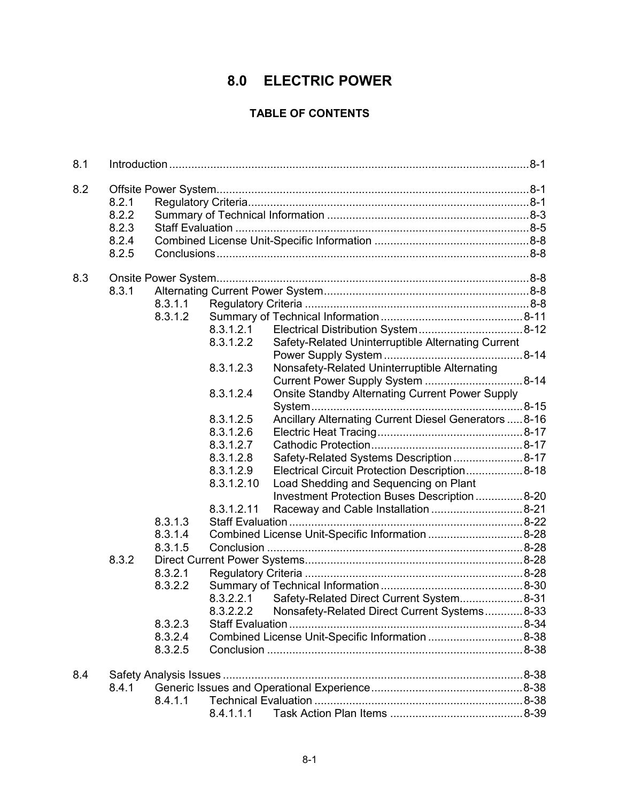# **8.0 ELECTRIC POWER**

# **TABLE OF CONTENTS**

| 8.1 |                         |         |            |                                                         |  |  |
|-----|-------------------------|---------|------------|---------------------------------------------------------|--|--|
| 8.2 |                         |         |            |                                                         |  |  |
|     | 8.2.1                   |         |            |                                                         |  |  |
|     | 8.2.2<br>8.2.3<br>8.2.4 |         |            |                                                         |  |  |
|     |                         |         |            |                                                         |  |  |
|     |                         |         |            |                                                         |  |  |
|     | 8.2.5                   |         |            |                                                         |  |  |
|     |                         |         |            |                                                         |  |  |
| 8.3 |                         |         |            |                                                         |  |  |
|     | 8.3.1                   |         |            |                                                         |  |  |
|     |                         | 8.3.1.1 |            |                                                         |  |  |
|     |                         | 8.3.1.2 |            |                                                         |  |  |
|     |                         |         | 8.3.1.2.1  |                                                         |  |  |
|     |                         |         | 8.3.1.2.2  | Safety-Related Uninterruptible Alternating Current      |  |  |
|     |                         |         |            |                                                         |  |  |
|     |                         |         | 8.3.1.2.3  | Nonsafety-Related Uninterruptible Alternating           |  |  |
|     |                         |         |            |                                                         |  |  |
|     |                         |         | 8.3.1.2.4  | <b>Onsite Standby Alternating Current Power Supply</b>  |  |  |
|     |                         |         |            |                                                         |  |  |
|     |                         |         | 8.3.1.2.5  | Ancillary Alternating Current Diesel Generators  8-16   |  |  |
|     |                         |         | 8.3.1.2.6  |                                                         |  |  |
|     |                         |         | 8.3.1.2.7  |                                                         |  |  |
|     |                         |         | 8.3.1.2.8  | Safety-Related Systems Description  8-17                |  |  |
|     |                         |         | 8.3.1.2.9  | Electrical Circuit Protection Description 8-18          |  |  |
|     |                         |         | 8.3.1.2.10 | Load Shedding and Sequencing on Plant                   |  |  |
|     |                         |         |            | Investment Protection Buses Description  8-20           |  |  |
|     |                         |         | 8.3.1.2.11 | Raceway and Cable Installation  8-21                    |  |  |
|     |                         | 8.3.1.3 |            |                                                         |  |  |
|     |                         | 8.3.1.4 |            | Combined License Unit-Specific Information 8-28         |  |  |
|     |                         | 8.3.1.5 |            |                                                         |  |  |
|     | 8.3.2                   |         |            |                                                         |  |  |
|     |                         | 8.3.2.1 |            |                                                         |  |  |
|     |                         | 8.3.2.2 |            |                                                         |  |  |
|     |                         |         | 8.3.2.2.1  | Safety-Related Direct Current System 8-31               |  |  |
|     |                         |         |            | 8.3.2.2.2 Nonsafety-Related Direct Current Systems 8-33 |  |  |
|     |                         | 8.3.2.3 |            |                                                         |  |  |
|     |                         | 8.3.2.4 |            |                                                         |  |  |
|     |                         | 8.3.2.5 |            |                                                         |  |  |
|     |                         |         |            |                                                         |  |  |
| 8.4 |                         |         |            |                                                         |  |  |
|     | 8.4.1                   |         |            |                                                         |  |  |
|     |                         | 8.4.1.1 |            |                                                         |  |  |
|     |                         |         | 8.4.1.1.1  |                                                         |  |  |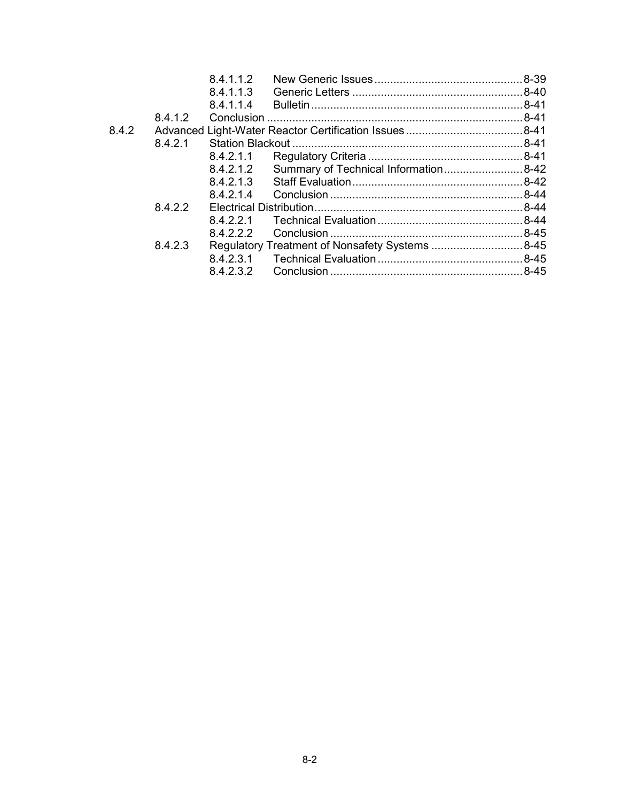|       |         | 8.4.1.1.2 |                                                |  |
|-------|---------|-----------|------------------------------------------------|--|
|       |         | 8.4.1.1.3 |                                                |  |
|       |         | 8.4.1.1.4 |                                                |  |
|       | 8.4.1.2 |           |                                                |  |
| 8.4.2 |         |           |                                                |  |
|       | 8.4.2.1 |           |                                                |  |
|       |         | 8.4.2.1.1 |                                                |  |
|       |         | 8.4.2.1.2 | Summary of Technical Information 8-42          |  |
|       |         | 8.4.2.1.3 |                                                |  |
|       |         | 8.4.2.1.4 |                                                |  |
|       | 8.4.2.2 |           |                                                |  |
|       |         | 8.4.2.2.1 |                                                |  |
|       |         | 8.4.2.2.2 |                                                |  |
|       | 8.4.2.3 |           | Regulatory Treatment of Nonsafety Systems 8-45 |  |
|       |         | 8.4.2.3.1 |                                                |  |
|       |         | 8.4.2.3.2 |                                                |  |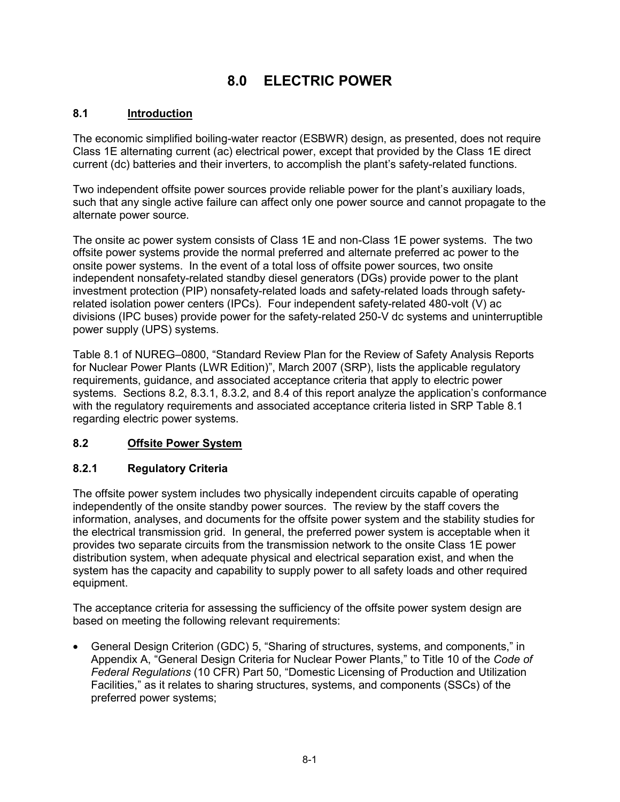# **8.0 ELECTRIC POWER**

### **8.1 Introduction**

The economic simplified boiling-water reactor (ESBWR) design, as presented, does not require Class 1E alternating current (ac) electrical power, except that provided by the Class 1E direct current (dc) batteries and their inverters, to accomplish the plant's safety-related functions.

Two independent offsite power sources provide reliable power for the plant's auxiliary loads, such that any single active failure can affect only one power source and cannot propagate to the alternate power source.

The onsite ac power system consists of Class 1E and non-Class 1E power systems. The two offsite power systems provide the normal preferred and alternate preferred ac power to the onsite power systems. In the event of a total loss of offsite power sources, two onsite independent nonsafety-related standby diesel generators (DGs) provide power to the plant investment protection (PIP) nonsafety-related loads and safety-related loads through safetyrelated isolation power centers (IPCs). Four independent safety-related 480-volt (V) ac divisions (IPC buses) provide power for the safety-related 250-V dc systems and uninterruptible power supply (UPS) systems.

Table 8.1 of NUREG–0800, "Standard Review Plan for the Review of Safety Analysis Reports for Nuclear Power Plants (LWR Edition)", March 2007 (SRP), lists the applicable regulatory requirements, guidance, and associated acceptance criteria that apply to electric power systems. Sections 8.2, 8.3.1, 8.3.2, and 8.4 of this report analyze the application's conformance with the regulatory requirements and associated acceptance criteria listed in SRP Table 8.1 regarding electric power systems.

### **8.2 Offsite Power System**

### **8.2.1 Regulatory Criteria**

The offsite power system includes two physically independent circuits capable of operating independently of the onsite standby power sources. The review by the staff covers the information, analyses, and documents for the offsite power system and the stability studies for the electrical transmission grid. In general, the preferred power system is acceptable when it provides two separate circuits from the transmission network to the onsite Class 1E power distribution system, when adequate physical and electrical separation exist, and when the system has the capacity and capability to supply power to all safety loads and other required equipment.

The acceptance criteria for assessing the sufficiency of the offsite power system design are based on meeting the following relevant requirements:

• General Design Criterion (GDC) 5, "Sharing of structures, systems, and components," in Appendix A, "General Design Criteria for Nuclear Power Plants," to Title 10 of the *Code of Federal Regulations* (10 CFR) Part 50, "Domestic Licensing of Production and Utilization Facilities," as it relates to sharing structures, systems, and components (SSCs) of the preferred power systems;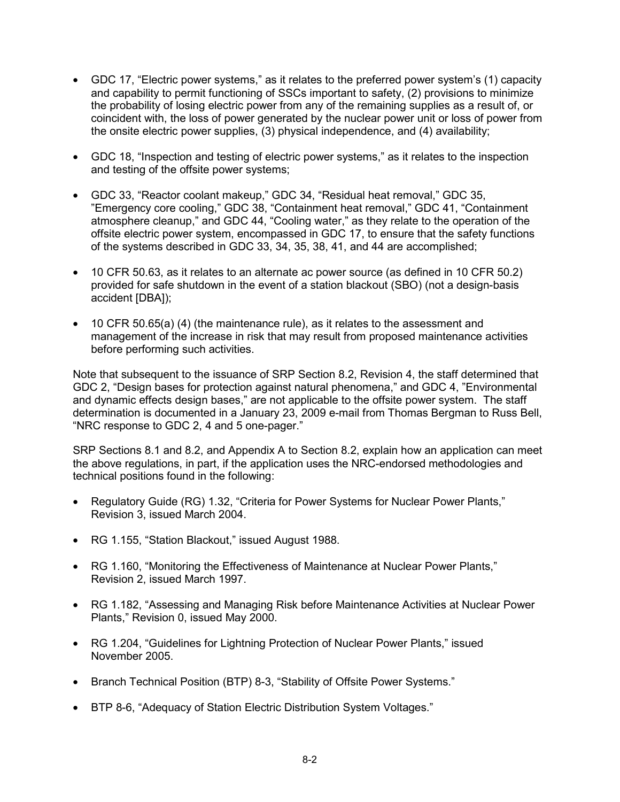- GDC 17, "Electric power systems," as it relates to the preferred power system's (1) capacity and capability to permit functioning of SSCs important to safety, (2) provisions to minimize the probability of losing electric power from any of the remaining supplies as a result of, or coincident with, the loss of power generated by the nuclear power unit or loss of power from the onsite electric power supplies, (3) physical independence, and (4) availability;
- GDC 18, "Inspection and testing of electric power systems," as it relates to the inspection and testing of the offsite power systems;
- GDC 33, "Reactor coolant makeup," GDC 34, "Residual heat removal," GDC 35, "Emergency core cooling," GDC 38, "Containment heat removal," GDC 41, "Containment atmosphere cleanup," and GDC 44, "Cooling water," as they relate to the operation of the offsite electric power system, encompassed in GDC 17, to ensure that the safety functions of the systems described in GDC 33, 34, 35, 38, 41, and 44 are accomplished;
- 10 CFR 50.63, as it relates to an alternate ac power source (as defined in 10 CFR 50.2) provided for safe shutdown in the event of a station blackout (SBO) (not a design-basis accident [DBA]);
- 10 CFR 50.65(a) (4) (the maintenance rule), as it relates to the assessment and management of the increase in risk that may result from proposed maintenance activities before performing such activities.

Note that subsequent to the issuance of SRP Section 8.2, Revision 4, the staff determined that GDC 2, "Design bases for protection against natural phenomena," and GDC 4, "Environmental and dynamic effects design bases," are not applicable to the offsite power system. The staff determination is documented in a January 23, 2009 e-mail from Thomas Bergman to Russ Bell, "NRC response to GDC 2, 4 and 5 one-pager."

SRP Sections 8.1 and 8.2, and Appendix A to Section 8.2, explain how an application can meet the above regulations, in part, if the application uses the NRC-endorsed methodologies and technical positions found in the following:

- Regulatory Guide (RG) 1.32, "Criteria for Power Systems for Nuclear Power Plants," Revision 3, issued March 2004.
- RG 1.155, "Station Blackout," issued August 1988.
- RG 1.160, "Monitoring the Effectiveness of Maintenance at Nuclear Power Plants," Revision 2, issued March 1997.
- RG 1.182, "Assessing and Managing Risk before Maintenance Activities at Nuclear Power Plants," Revision 0, issued May 2000.
- RG 1.204, "Guidelines for Lightning Protection of Nuclear Power Plants," issued November 2005.
- Branch Technical Position (BTP) 8-3, "Stability of Offsite Power Systems."
- BTP 8-6, "Adequacy of Station Electric Distribution System Voltages."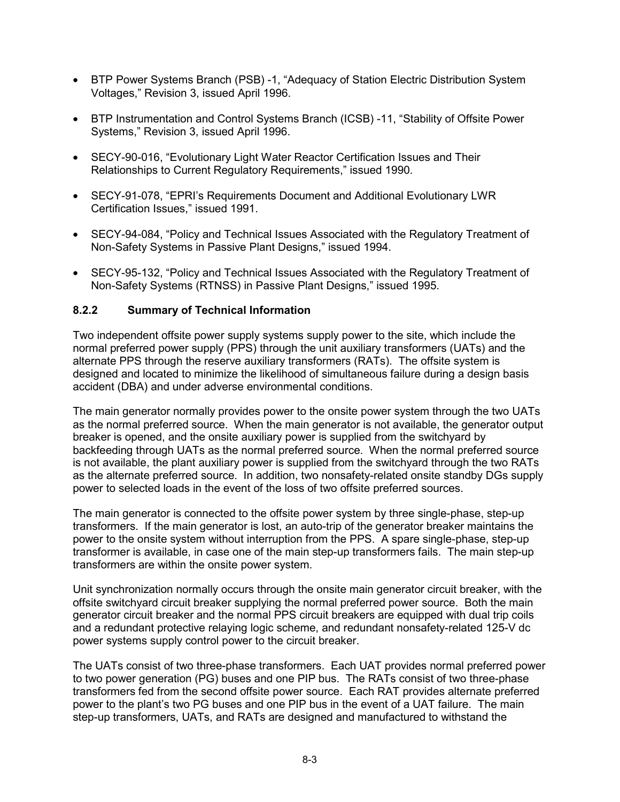- BTP Power Systems Branch (PSB) -1, "Adequacy of Station Electric Distribution System Voltages," Revision 3, issued April 1996.
- BTP Instrumentation and Control Systems Branch (ICSB) -11, "Stability of Offsite Power Systems," Revision 3, issued April 1996.
- SECY-90-016, "Evolutionary Light Water Reactor Certification Issues and Their Relationships to Current Regulatory Requirements," issued 1990.
- SECY-91-078, "EPRI's Requirements Document and Additional Evolutionary LWR Certification Issues," issued 1991.
- SECY-94-084, "Policy and Technical Issues Associated with the Regulatory Treatment of Non-Safety Systems in Passive Plant Designs," issued 1994.
- SECY-95-132, "Policy and Technical Issues Associated with the Regulatory Treatment of Non-Safety Systems (RTNSS) in Passive Plant Designs," issued 1995.

#### **8.2.2 Summary of Technical Information**

Two independent offsite power supply systems supply power to the site, which include the normal preferred power supply (PPS) through the unit auxiliary transformers (UATs) and the alternate PPS through the reserve auxiliary transformers (RATs). The offsite system is designed and located to minimize the likelihood of simultaneous failure during a design basis accident (DBA) and under adverse environmental conditions.

The main generator normally provides power to the onsite power system through the two UATs as the normal preferred source. When the main generator is not available, the generator output breaker is opened, and the onsite auxiliary power is supplied from the switchyard by backfeeding through UATs as the normal preferred source. When the normal preferred source is not available, the plant auxiliary power is supplied from the switchyard through the two RATs as the alternate preferred source. In addition, two nonsafety-related onsite standby DGs supply power to selected loads in the event of the loss of two offsite preferred sources.

The main generator is connected to the offsite power system by three single-phase, step-up transformers. If the main generator is lost, an auto-trip of the generator breaker maintains the power to the onsite system without interruption from the PPS. A spare single-phase, step-up transformer is available, in case one of the main step-up transformers fails. The main step-up transformers are within the onsite power system.

Unit synchronization normally occurs through the onsite main generator circuit breaker, with the offsite switchyard circuit breaker supplying the normal preferred power source. Both the main generator circuit breaker and the normal PPS circuit breakers are equipped with dual trip coils and a redundant protective relaying logic scheme, and redundant nonsafety-related 125-V dc power systems supply control power to the circuit breaker.

The UATs consist of two three-phase transformers. Each UAT provides normal preferred power to two power generation (PG) buses and one PIP bus. The RATs consist of two three-phase transformers fed from the second offsite power source. Each RAT provides alternate preferred power to the plant's two PG buses and one PIP bus in the event of a UAT failure. The main step-up transformers, UATs, and RATs are designed and manufactured to withstand the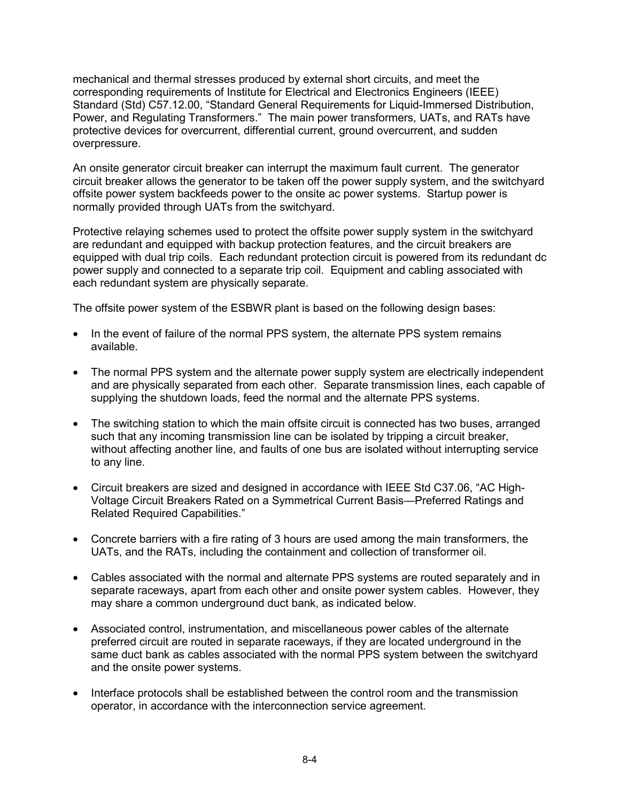mechanical and thermal stresses produced by external short circuits, and meet the corresponding requirements of Institute for Electrical and Electronics Engineers (IEEE) Standard (Std) C57.12.00, "Standard General Requirements for Liquid-Immersed Distribution, Power, and Regulating Transformers." The main power transformers, UATs, and RATs have protective devices for overcurrent, differential current, ground overcurrent, and sudden overpressure.

An onsite generator circuit breaker can interrupt the maximum fault current. The generator circuit breaker allows the generator to be taken off the power supply system, and the switchyard offsite power system backfeeds power to the onsite ac power systems. Startup power is normally provided through UATs from the switchyard.

Protective relaying schemes used to protect the offsite power supply system in the switchyard are redundant and equipped with backup protection features, and the circuit breakers are equipped with dual trip coils. Each redundant protection circuit is powered from its redundant dc power supply and connected to a separate trip coil. Equipment and cabling associated with each redundant system are physically separate.

The offsite power system of the ESBWR plant is based on the following design bases:

- In the event of failure of the normal PPS system, the alternate PPS system remains available.
- The normal PPS system and the alternate power supply system are electrically independent and are physically separated from each other. Separate transmission lines, each capable of supplying the shutdown loads, feed the normal and the alternate PPS systems.
- The switching station to which the main offsite circuit is connected has two buses, arranged such that any incoming transmission line can be isolated by tripping a circuit breaker, without affecting another line, and faults of one bus are isolated without interrupting service to any line.
- Circuit breakers are sized and designed in accordance with IEEE Std C37.06, "AC High-Voltage Circuit Breakers Rated on a Symmetrical Current Basis—Preferred Ratings and Related Required Capabilities."
- Concrete barriers with a fire rating of 3 hours are used among the main transformers, the UATs, and the RATs, including the containment and collection of transformer oil.
- Cables associated with the normal and alternate PPS systems are routed separately and in separate raceways, apart from each other and onsite power system cables. However, they may share a common underground duct bank, as indicated below.
- Associated control, instrumentation, and miscellaneous power cables of the alternate preferred circuit are routed in separate raceways, if they are located underground in the same duct bank as cables associated with the normal PPS system between the switchyard and the onsite power systems.
- Interface protocols shall be established between the control room and the transmission operator, in accordance with the interconnection service agreement.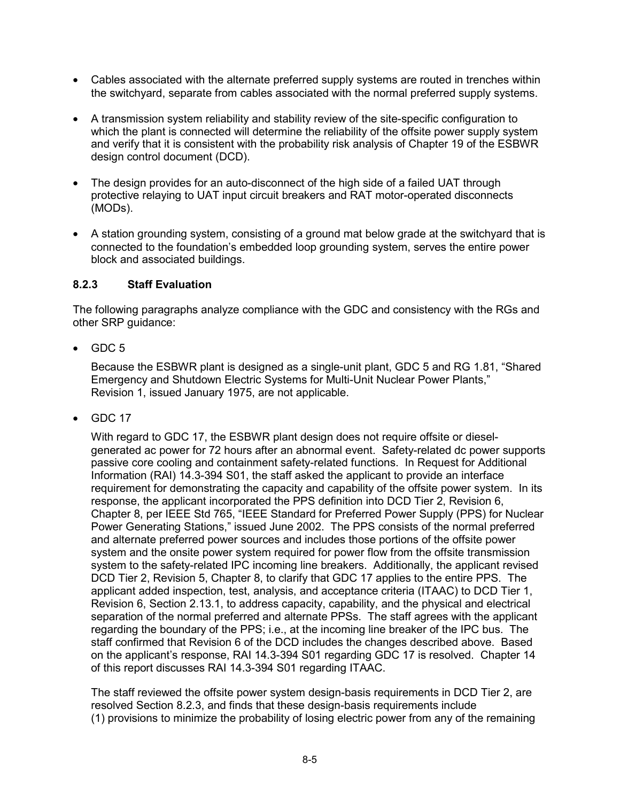- Cables associated with the alternate preferred supply systems are routed in trenches within the switchyard, separate from cables associated with the normal preferred supply systems.
- A transmission system reliability and stability review of the site-specific configuration to which the plant is connected will determine the reliability of the offsite power supply system and verify that it is consistent with the probability risk analysis of Chapter 19 of the ESBWR design control document (DCD).
- The design provides for an auto-disconnect of the high side of a failed UAT through protective relaying to UAT input circuit breakers and RAT motor-operated disconnects (MODs).
- A station grounding system, consisting of a ground mat below grade at the switchyard that is connected to the foundation's embedded loop grounding system, serves the entire power block and associated buildings.

#### **8.2.3 Staff Evaluation**

The following paragraphs analyze compliance with the GDC and consistency with the RGs and other SRP guidance:

 $\bullet$  GDC 5

Because the ESBWR plant is designed as a single-unit plant, GDC 5 and RG 1.81, "Shared Emergency and Shutdown Electric Systems for Multi-Unit Nuclear Power Plants," Revision 1, issued January 1975, are not applicable.

• GDC 17

With regard to GDC 17, the ESBWR plant design does not require offsite or dieselgenerated ac power for 72 hours after an abnormal event. Safety-related dc power supports passive core cooling and containment safety-related functions. In Request for Additional Information (RAI) 14.3-394 S01, the staff asked the applicant to provide an interface requirement for demonstrating the capacity and capability of the offsite power system. In its response, the applicant incorporated the PPS definition into DCD Tier 2, Revision 6, Chapter 8, per IEEE Std 765, "IEEE Standard for Preferred Power Supply (PPS) for Nuclear Power Generating Stations," issued June 2002. The PPS consists of the normal preferred and alternate preferred power sources and includes those portions of the offsite power system and the onsite power system required for power flow from the offsite transmission system to the safety-related IPC incoming line breakers. Additionally, the applicant revised DCD Tier 2, Revision 5, Chapter 8, to clarify that GDC 17 applies to the entire PPS. The applicant added inspection, test, analysis, and acceptance criteria (ITAAC) to DCD Tier 1, Revision 6, Section 2.13.1, to address capacity, capability, and the physical and electrical separation of the normal preferred and alternate PPSs. The staff agrees with the applicant regarding the boundary of the PPS; i.e., at the incoming line breaker of the IPC bus. The staff confirmed that Revision 6 of the DCD includes the changes described above. Based on the applicant's response, RAI 14.3-394 S01 regarding GDC 17 is resolved. Chapter 14 of this report discusses RAI 14.3-394 S01 regarding ITAAC.

The staff reviewed the offsite power system design-basis requirements in DCD Tier 2, are resolved Section 8.2.3, and finds that these design-basis requirements include (1) provisions to minimize the probability of losing electric power from any of the remaining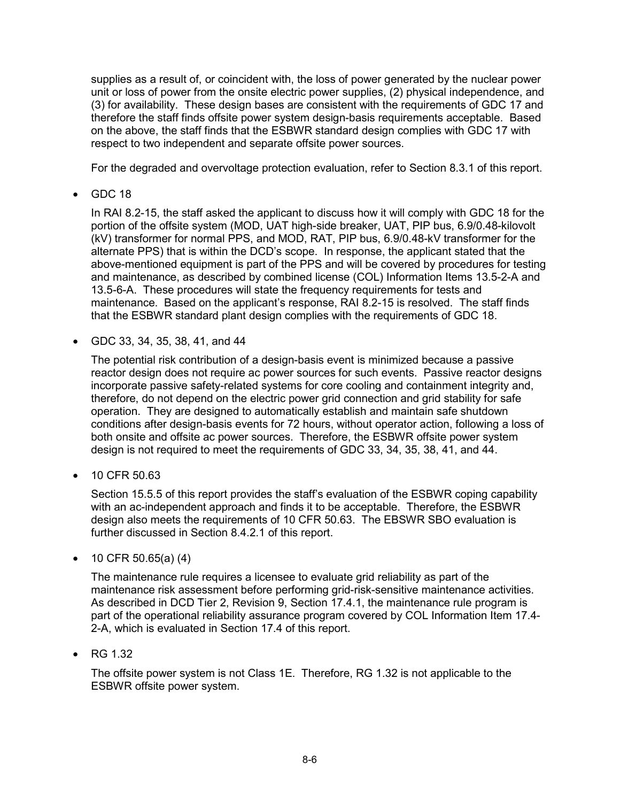supplies as a result of, or coincident with, the loss of power generated by the nuclear power unit or loss of power from the onsite electric power supplies, (2) physical independence, and (3) for availability. These design bases are consistent with the requirements of GDC 17 and therefore the staff finds offsite power system design-basis requirements acceptable. Based on the above, the staff finds that the ESBWR standard design complies with GDC 17 with respect to two independent and separate offsite power sources.

For the degraded and overvoltage protection evaluation, refer to Section 8.3.1 of this report.

• GDC 18

In RAI 8.2-15, the staff asked the applicant to discuss how it will comply with GDC 18 for the portion of the offsite system (MOD, UAT high-side breaker, UAT, PIP bus, 6.9/0.48-kilovolt (kV) transformer for normal PPS, and MOD, RAT, PIP bus, 6.9/0.48-kV transformer for the alternate PPS) that is within the DCD's scope. In response, the applicant stated that the above-mentioned equipment is part of the PPS and will be covered by procedures for testing and maintenance, as described by combined license (COL) Information Items 13.5-2-A and 13.5-6-A. These procedures will state the frequency requirements for tests and maintenance. Based on the applicant's response, RAI 8.2-15 is resolved. The staff finds that the ESBWR standard plant design complies with the requirements of GDC 18.

• GDC 33, 34, 35, 38, 41, and 44

The potential risk contribution of a design-basis event is minimized because a passive reactor design does not require ac power sources for such events. Passive reactor designs incorporate passive safety-related systems for core cooling and containment integrity and, therefore, do not depend on the electric power grid connection and grid stability for safe operation. They are designed to automatically establish and maintain safe shutdown conditions after design-basis events for 72 hours, without operator action, following a loss of both onsite and offsite ac power sources. Therefore, the ESBWR offsite power system design is not required to meet the requirements of GDC 33, 34, 35, 38, 41, and 44.

• 10 CFR 50.63

Section 15.5.5 of this report provides the staff's evaluation of the ESBWR coping capability with an ac-independent approach and finds it to be acceptable. Therefore, the ESBWR design also meets the requirements of 10 CFR 50.63. The EBSWR SBO evaluation is further discussed in Section 8.4.2.1 of this report.

• 10 CFR 50.65(a)  $(4)$ 

The maintenance rule requires a licensee to evaluate grid reliability as part of the maintenance risk assessment before performing grid-risk-sensitive maintenance activities. As described in DCD Tier 2, Revision 9, Section 17.4.1, the maintenance rule program is part of the operational reliability assurance program covered by COL Information Item 17.4- 2-A, which is evaluated in Section 17.4 of this report.

• RG 1.32

The offsite power system is not Class 1E. Therefore, RG 1.32 is not applicable to the ESBWR offsite power system.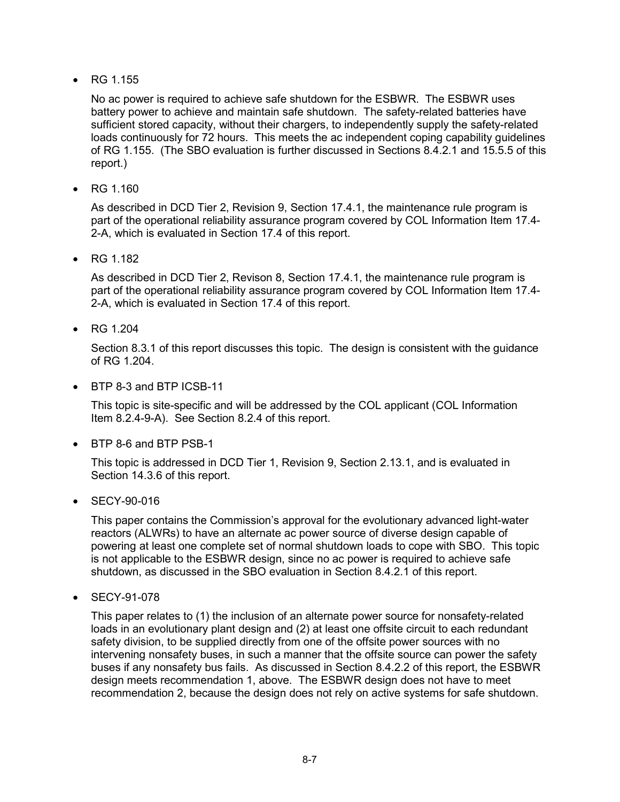• RG 1.155

No ac power is required to achieve safe shutdown for the ESBWR. The ESBWR uses battery power to achieve and maintain safe shutdown. The safety-related batteries have sufficient stored capacity, without their chargers, to independently supply the safety-related loads continuously for 72 hours. This meets the ac independent coping capability guidelines of RG 1.155. (The SBO evaluation is further discussed in Sections 8.4.2.1 and 15.5.5 of this report.)

• RG 1.160

As described in DCD Tier 2, Revision 9, Section 17.4.1, the maintenance rule program is part of the operational reliability assurance program covered by COL Information Item 17.4- 2-A, which is evaluated in Section 17.4 of this report.

• RG 1.182

As described in DCD Tier 2, Revison 8, Section 17.4.1, the maintenance rule program is part of the operational reliability assurance program covered by COL Information Item 17.4- 2-A, which is evaluated in Section 17.4 of this report.

• RG 1.204

Section 8.3.1 of this report discusses this topic. The design is consistent with the guidance of RG 1.204.

• BTP 8-3 and BTP ICSB-11

This topic is site-specific and will be addressed by the COL applicant (COL Information Item 8.2.4-9-A). See Section 8.2.4 of this report.

• BTP 8-6 and BTP PSB-1

This topic is addressed in DCD Tier 1, Revision 9, Section 2.13.1, and is evaluated in Section 14.3.6 of this report.

• SECY-90-016

This paper contains the Commission's approval for the evolutionary advanced light-water reactors (ALWRs) to have an alternate ac power source of diverse design capable of powering at least one complete set of normal shutdown loads to cope with SBO. This topic is not applicable to the ESBWR design, since no ac power is required to achieve safe shutdown, as discussed in the SBO evaluation in Section 8.4.2.1 of this report.

• SECY-91-078

This paper relates to (1) the inclusion of an alternate power source for nonsafety-related loads in an evolutionary plant design and (2) at least one offsite circuit to each redundant safety division, to be supplied directly from one of the offsite power sources with no intervening nonsafety buses, in such a manner that the offsite source can power the safety buses if any nonsafety bus fails. As discussed in Section 8.4.2.2 of this report, the ESBWR design meets recommendation 1, above. The ESBWR design does not have to meet recommendation 2, because the design does not rely on active systems for safe shutdown.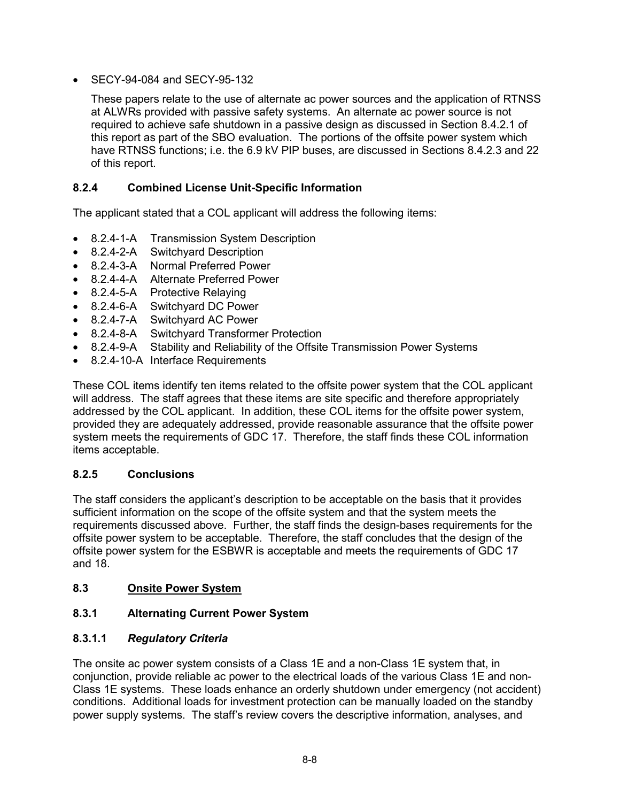• SECY-94-084 and SECY-95-132

These papers relate to the use of alternate ac power sources and the application of RTNSS at ALWRs provided with passive safety systems. An alternate ac power source is not required to achieve safe shutdown in a passive design as discussed in Section 8.4.2.1 of this report as part of the SBO evaluation. The portions of the offsite power system which have RTNSS functions; i.e. the 6.9 kV PIP buses, are discussed in Sections 8.4.2.3 and 22 of this report.

### **8.2.4 Combined License Unit-Specific Information**

The applicant stated that a COL applicant will address the following items:

- 8.2.4-1-A Transmission System Description
- 8.2.4-2-A Switchyard Description
- 8.2.4-3-A Normal Preferred Power
- 8.2.4-4-A Alternate Preferred Power
- 8.2.4-5-A Protective Relaying
- 8.2.4-6-A Switchyard DC Power
- 8.2.4-7-A Switchyard AC Power
- 8.2.4-8-A Switchyard Transformer Protection
- 8.2.4-9-A Stability and Reliability of the Offsite Transmission Power Systems
- 8.2.4-10-A Interface Requirements

These COL items identify ten items related to the offsite power system that the COL applicant will address. The staff agrees that these items are site specific and therefore appropriately addressed by the COL applicant. In addition, these COL items for the offsite power system, provided they are adequately addressed, provide reasonable assurance that the offsite power system meets the requirements of GDC 17. Therefore, the staff finds these COL information items acceptable.

### **8.2.5 Conclusions**

The staff considers the applicant's description to be acceptable on the basis that it provides sufficient information on the scope of the offsite system and that the system meets the requirements discussed above. Further, the staff finds the design-bases requirements for the offsite power system to be acceptable. Therefore, the staff concludes that the design of the offsite power system for the ESBWR is acceptable and meets the requirements of GDC 17 and 18.

### **8.3 Onsite Power System**

### **8.3.1 Alternating Current Power System**

### **8.3.1.1** *Regulatory Criteria*

The onsite ac power system consists of a Class 1E and a non-Class 1E system that, in conjunction, provide reliable ac power to the electrical loads of the various Class 1E and non-Class 1E systems. These loads enhance an orderly shutdown under emergency (not accident) conditions. Additional loads for investment protection can be manually loaded on the standby power supply systems. The staff's review covers the descriptive information, analyses, and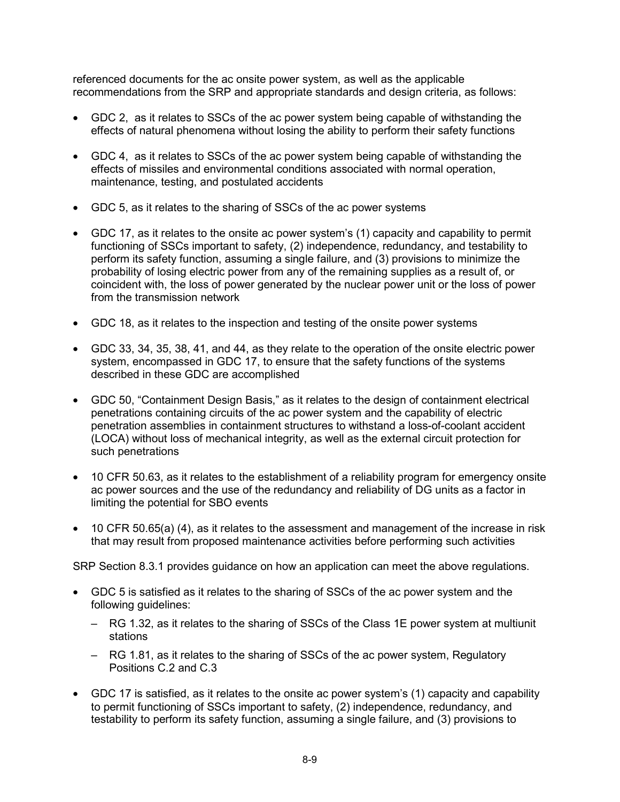referenced documents for the ac onsite power system, as well as the applicable recommendations from the SRP and appropriate standards and design criteria, as follows:

- GDC 2, as it relates to SSCs of the ac power system being capable of withstanding the effects of natural phenomena without losing the ability to perform their safety functions
- GDC 4, as it relates to SSCs of the ac power system being capable of withstanding the effects of missiles and environmental conditions associated with normal operation, maintenance, testing, and postulated accidents
- GDC 5, as it relates to the sharing of SSCs of the ac power systems
- GDC 17, as it relates to the onsite ac power system's (1) capacity and capability to permit functioning of SSCs important to safety, (2) independence, redundancy, and testability to perform its safety function, assuming a single failure, and (3) provisions to minimize the probability of losing electric power from any of the remaining supplies as a result of, or coincident with, the loss of power generated by the nuclear power unit or the loss of power from the transmission network
- GDC 18, as it relates to the inspection and testing of the onsite power systems
- GDC 33, 34, 35, 38, 41, and 44, as they relate to the operation of the onsite electric power system, encompassed in GDC 17, to ensure that the safety functions of the systems described in these GDC are accomplished
- GDC 50, "Containment Design Basis," as it relates to the design of containment electrical penetrations containing circuits of the ac power system and the capability of electric penetration assemblies in containment structures to withstand a loss-of-coolant accident (LOCA) without loss of mechanical integrity, as well as the external circuit protection for such penetrations
- 10 CFR 50.63, as it relates to the establishment of a reliability program for emergency onsite ac power sources and the use of the redundancy and reliability of DG units as a factor in limiting the potential for SBO events
- 10 CFR 50.65(a) (4), as it relates to the assessment and management of the increase in risk that may result from proposed maintenance activities before performing such activities

SRP Section 8.3.1 provides guidance on how an application can meet the above regulations.

- GDC 5 is satisfied as it relates to the sharing of SSCs of the ac power system and the following guidelines:
	- RG 1.32, as it relates to the sharing of SSCs of the Class 1E power system at multiunit stations
	- RG 1.81, as it relates to the sharing of SSCs of the ac power system, Regulatory Positions C.2 and C.3
- GDC 17 is satisfied, as it relates to the onsite ac power system's (1) capacity and capability to permit functioning of SSCs important to safety, (2) independence, redundancy, and testability to perform its safety function, assuming a single failure, and (3) provisions to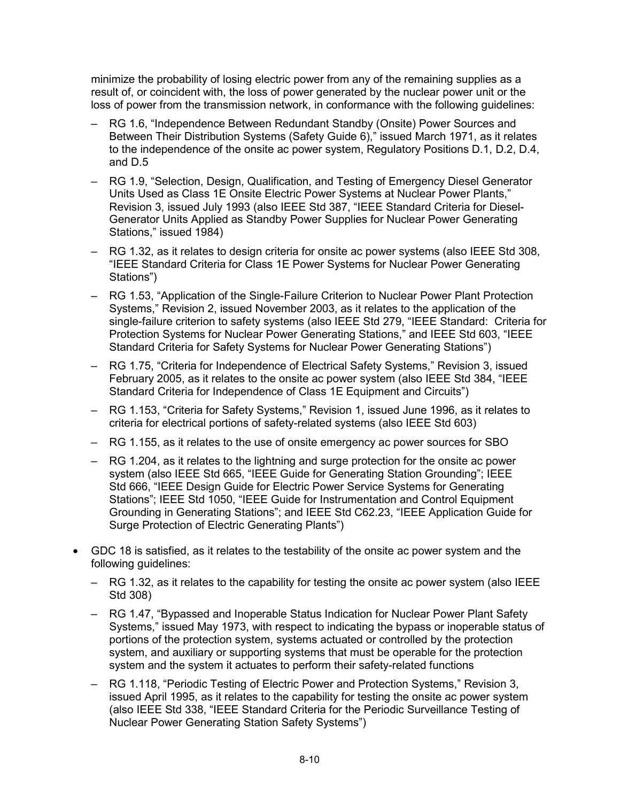minimize the probability of losing electric power from any of the remaining supplies as a result of, or coincident with, the loss of power generated by the nuclear power unit or the loss of power from the transmission network, in conformance with the following guidelines:

- RG 1.6, "Independence Between Redundant Standby (Onsite) Power Sources and Between Their Distribution Systems (Safety Guide 6)," issued March 1971, as it relates to the independence of the onsite ac power system, Regulatory Positions D.1, D.2, D.4, and D.5
- RG 1.9, "Selection, Design, Qualification, and Testing of Emergency Diesel Generator Units Used as Class 1E Onsite Electric Power Systems at Nuclear Power Plants," Revision 3, issued July 1993 (also IEEE Std 387, "IEEE Standard Criteria for Diesel-Generator Units Applied as Standby Power Supplies for Nuclear Power Generating Stations," issued 1984)
- RG 1.32, as it relates to design criteria for onsite ac power systems (also IEEE Std 308, "IEEE Standard Criteria for Class 1E Power Systems for Nuclear Power Generating Stations")
- RG 1.53, "Application of the Single-Failure Criterion to Nuclear Power Plant Protection Systems," Revision 2, issued November 2003, as it relates to the application of the single-failure criterion to safety systems (also IEEE Std 279, "IEEE Standard: Criteria for Protection Systems for Nuclear Power Generating Stations," and IEEE Std 603, "IEEE Standard Criteria for Safety Systems for Nuclear Power Generating Stations")
- RG 1.75, "Criteria for Independence of Electrical Safety Systems," Revision 3, issued February 2005, as it relates to the onsite ac power system (also IEEE Std 384, "IEEE Standard Criteria for Independence of Class 1E Equipment and Circuits")
- RG 1.153, "Criteria for Safety Systems," Revision 1, issued June 1996, as it relates to criteria for electrical portions of safety-related systems (also IEEE Std 603)
- RG 1.155, as it relates to the use of onsite emergency ac power sources for SBO
- RG 1.204, as it relates to the lightning and surge protection for the onsite ac power system (also IEEE Std 665, "IEEE Guide for Generating Station Grounding"; IEEE Std 666, "IEEE Design Guide for Electric Power Service Systems for Generating Stations"; IEEE Std 1050, "IEEE Guide for Instrumentation and Control Equipment Grounding in Generating Stations"; and IEEE Std C62.23, "IEEE Application Guide for Surge Protection of Electric Generating Plants")
- GDC 18 is satisfied, as it relates to the testability of the onsite ac power system and the following guidelines:
	- RG 1.32, as it relates to the capability for testing the onsite ac power system (also IEEE Std 308)
	- RG 1.47, "Bypassed and Inoperable Status Indication for Nuclear Power Plant Safety Systems," issued May 1973, with respect to indicating the bypass or inoperable status of portions of the protection system, systems actuated or controlled by the protection system, and auxiliary or supporting systems that must be operable for the protection system and the system it actuates to perform their safety-related functions
	- RG 1.118, "Periodic Testing of Electric Power and Protection Systems," Revision 3, issued April 1995, as it relates to the capability for testing the onsite ac power system (also IEEE Std 338, "IEEE Standard Criteria for the Periodic Surveillance Testing of Nuclear Power Generating Station Safety Systems")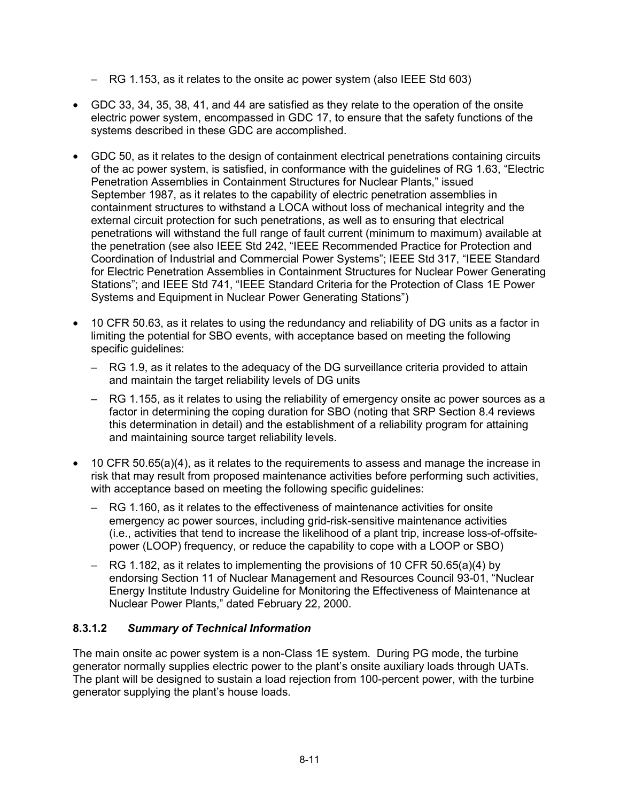- RG 1.153, as it relates to the onsite ac power system (also IEEE Std 603)
- GDC 33, 34, 35, 38, 41, and 44 are satisfied as they relate to the operation of the onsite electric power system, encompassed in GDC 17, to ensure that the safety functions of the systems described in these GDC are accomplished.
- GDC 50, as it relates to the design of containment electrical penetrations containing circuits of the ac power system, is satisfied, in conformance with the guidelines of RG 1.63, "Electric Penetration Assemblies in Containment Structures for Nuclear Plants," issued September 1987, as it relates to the capability of electric penetration assemblies in containment structures to withstand a LOCA without loss of mechanical integrity and the external circuit protection for such penetrations, as well as to ensuring that electrical penetrations will withstand the full range of fault current (minimum to maximum) available at the penetration (see also IEEE Std 242, "IEEE Recommended Practice for Protection and Coordination of Industrial and Commercial Power Systems"; IEEE Std 317, "IEEE Standard for Electric Penetration Assemblies in Containment Structures for Nuclear Power Generating Stations"; and IEEE Std 741, "IEEE Standard Criteria for the Protection of Class 1E Power Systems and Equipment in Nuclear Power Generating Stations")
- 10 CFR 50.63, as it relates to using the redundancy and reliability of DG units as a factor in limiting the potential for SBO events, with acceptance based on meeting the following specific guidelines:
	- RG 1.9, as it relates to the adequacy of the DG surveillance criteria provided to attain and maintain the target reliability levels of DG units
	- RG 1.155, as it relates to using the reliability of emergency onsite ac power sources as a factor in determining the coping duration for SBO (noting that SRP Section 8.4 reviews this determination in detail) and the establishment of a reliability program for attaining and maintaining source target reliability levels.
- 10 CFR 50.65(a)(4), as it relates to the requirements to assess and manage the increase in risk that may result from proposed maintenance activities before performing such activities, with acceptance based on meeting the following specific guidelines:
	- RG 1.160, as it relates to the effectiveness of maintenance activities for onsite emergency ac power sources, including grid-risk-sensitive maintenance activities (i.e., activities that tend to increase the likelihood of a plant trip, increase loss-of-offsitepower (LOOP) frequency, or reduce the capability to cope with a LOOP or SBO)
	- RG 1.182, as it relates to implementing the provisions of 10 CFR 50.65(a)(4) by endorsing Section 11 of Nuclear Management and Resources Council 93-01, "Nuclear Energy Institute Industry Guideline for Monitoring the Effectiveness of Maintenance at Nuclear Power Plants," dated February 22, 2000.

### **8.3.1.2** *Summary of Technical Information*

The main onsite ac power system is a non-Class 1E system. During PG mode, the turbine generator normally supplies electric power to the plant's onsite auxiliary loads through UATs. The plant will be designed to sustain a load rejection from 100-percent power, with the turbine generator supplying the plant's house loads.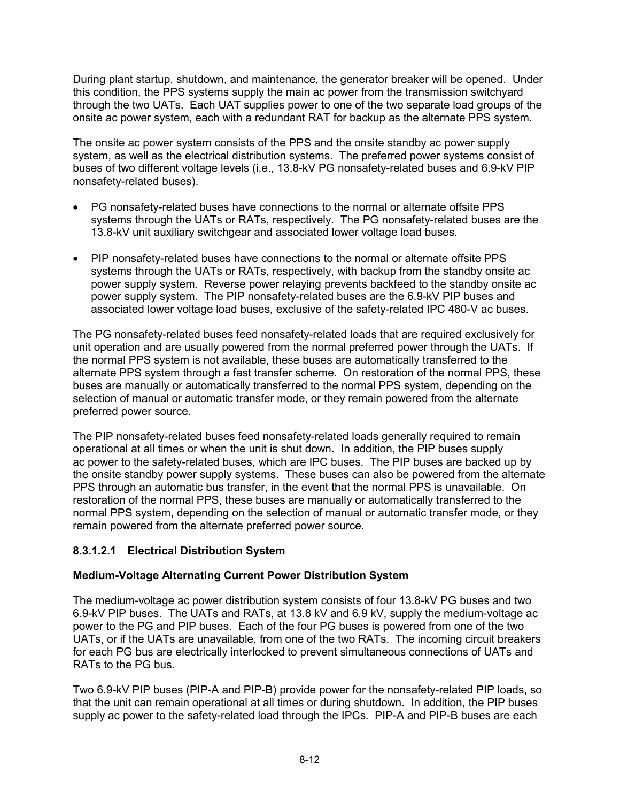During plant startup, shutdown, and maintenance, the generator breaker will be opened. Under this condition, the PPS systems supply the main ac power from the transmission switchyard through the two UATs. Each UAT supplies power to one of the two separate load groups of the onsite ac power system, each with a redundant RAT for backup as the alternate PPS system.

The onsite ac power system consists of the PPS and the onsite standby ac power supply system, as well as the electrical distribution systems. The preferred power systems consist of buses of two different voltage levels (i.e., 13.8-kV PG nonsafety-related buses and 6.9-kV PIP nonsafety-related buses).

- PG nonsafety-related buses have connections to the normal or alternate offsite PPS systems through the UATs or RATs, respectively. The PG nonsafety-related buses are the 13.8-kV unit auxiliary switchgear and associated lower voltage load buses.
- PIP nonsafety-related buses have connections to the normal or alternate offsite PPS systems through the UATs or RATs, respectively, with backup from the standby onsite ac power supply system. Reverse power relaying prevents backfeed to the standby onsite ac power supply system. The PIP nonsafety-related buses are the 6.9-kV PIP buses and associated lower voltage load buses, exclusive of the safety-related IPC 480-V ac buses.

The PG nonsafety-related buses feed nonsafety-related loads that are required exclusively for unit operation and are usually powered from the normal preferred power through the UATs. If the normal PPS system is not available, these buses are automatically transferred to the alternate PPS system through a fast transfer scheme. On restoration of the normal PPS, these buses are manually or automatically transferred to the normal PPS system, depending on the selection of manual or automatic transfer mode, or they remain powered from the alternate preferred power source.

The PIP nonsafety-related buses feed nonsafety-related loads generally required to remain operational at all times or when the unit is shut down. In addition, the PIP buses supply ac power to the safety-related buses, which are IPC buses. The PIP buses are backed up by the onsite standby power supply systems. These buses can also be powered from the alternate PPS through an automatic bus transfer, in the event that the normal PPS is unavailable. On restoration of the normal PPS, these buses are manually or automatically transferred to the normal PPS system, depending on the selection of manual or automatic transfer mode, or they remain powered from the alternate preferred power source.

### **8.3.1.2.1 Electrical Distribution System**

#### **Medium-Voltage Alternating Current Power Distribution System**

The medium-voltage ac power distribution system consists of four 13.8-kV PG buses and two 6.9-kV PIP buses. The UATs and RATs, at 13.8 kV and 6.9 kV, supply the medium-voltage ac power to the PG and PIP buses. Each of the four PG buses is powered from one of the two UATs, or if the UATs are unavailable, from one of the two RATs. The incoming circuit breakers for each PG bus are electrically interlocked to prevent simultaneous connections of UATs and RATs to the PG bus.

Two 6.9-kV PIP buses (PIP-A and PIP-B) provide power for the nonsafety-related PIP loads, so that the unit can remain operational at all times or during shutdown. In addition, the PIP buses supply ac power to the safety-related load through the IPCs. PIP-A and PIP-B buses are each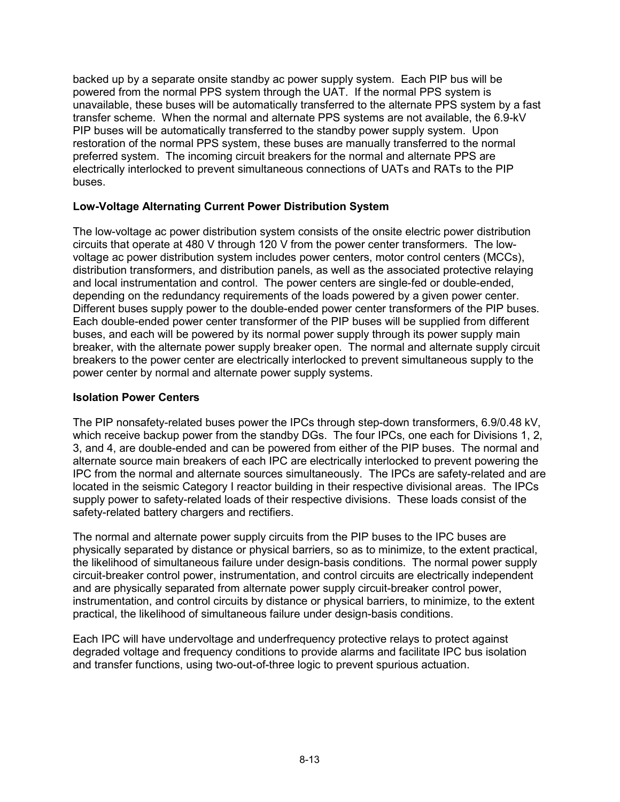backed up by a separate onsite standby ac power supply system. Each PIP bus will be powered from the normal PPS system through the UAT. If the normal PPS system is unavailable, these buses will be automatically transferred to the alternate PPS system by a fast transfer scheme. When the normal and alternate PPS systems are not available, the 6.9-kV PIP buses will be automatically transferred to the standby power supply system. Upon restoration of the normal PPS system, these buses are manually transferred to the normal preferred system. The incoming circuit breakers for the normal and alternate PPS are electrically interlocked to prevent simultaneous connections of UATs and RATs to the PIP buses.

#### **Low-Voltage Alternating Current Power Distribution System**

The low-voltage ac power distribution system consists of the onsite electric power distribution circuits that operate at 480 V through 120 V from the power center transformers. The lowvoltage ac power distribution system includes power centers, motor control centers (MCCs), distribution transformers, and distribution panels, as well as the associated protective relaying and local instrumentation and control. The power centers are single-fed or double-ended, depending on the redundancy requirements of the loads powered by a given power center. Different buses supply power to the double-ended power center transformers of the PIP buses. Each double-ended power center transformer of the PIP buses will be supplied from different buses, and each will be powered by its normal power supply through its power supply main breaker, with the alternate power supply breaker open. The normal and alternate supply circuit breakers to the power center are electrically interlocked to prevent simultaneous supply to the power center by normal and alternate power supply systems.

#### **Isolation Power Centers**

The PIP nonsafety-related buses power the IPCs through step-down transformers, 6.9/0.48 kV, which receive backup power from the standby DGs. The four IPCs, one each for Divisions 1, 2, 3, and 4, are double-ended and can be powered from either of the PIP buses. The normal and alternate source main breakers of each IPC are electrically interlocked to prevent powering the IPC from the normal and alternate sources simultaneously. The IPCs are safety-related and are located in the seismic Category I reactor building in their respective divisional areas. The IPCs supply power to safety-related loads of their respective divisions. These loads consist of the safety-related battery chargers and rectifiers.

The normal and alternate power supply circuits from the PIP buses to the IPC buses are physically separated by distance or physical barriers, so as to minimize, to the extent practical, the likelihood of simultaneous failure under design-basis conditions. The normal power supply circuit-breaker control power, instrumentation, and control circuits are electrically independent and are physically separated from alternate power supply circuit-breaker control power, instrumentation, and control circuits by distance or physical barriers, to minimize, to the extent practical, the likelihood of simultaneous failure under design-basis conditions.

Each IPC will have undervoltage and underfrequency protective relays to protect against degraded voltage and frequency conditions to provide alarms and facilitate IPC bus isolation and transfer functions, using two-out-of-three logic to prevent spurious actuation.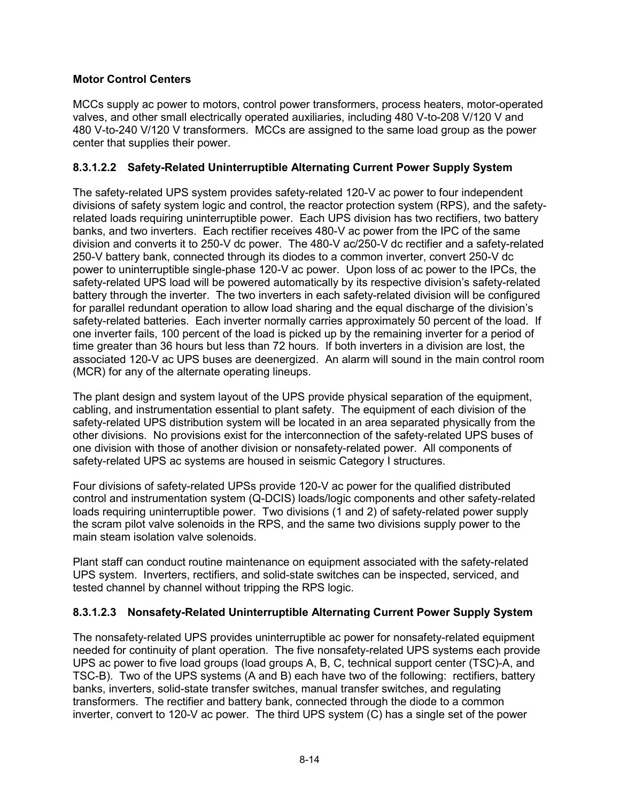### **Motor Control Centers**

MCCs supply ac power to motors, control power transformers, process heaters, motor-operated valves, and other small electrically operated auxiliaries, including 480 V-to-208 V/120 V and 480 V-to-240 V/120 V transformers. MCCs are assigned to the same load group as the power center that supplies their power.

### **8.3.1.2.2 Safety-Related Uninterruptible Alternating Current Power Supply System**

The safety-related UPS system provides safety-related 120-V ac power to four independent divisions of safety system logic and control, the reactor protection system (RPS), and the safetyrelated loads requiring uninterruptible power. Each UPS division has two rectifiers, two battery banks, and two inverters. Each rectifier receives 480-V ac power from the IPC of the same division and converts it to 250-V dc power. The 480-V ac/250-V dc rectifier and a safety-related 250-V battery bank, connected through its diodes to a common inverter, convert 250-V dc power to uninterruptible single-phase 120-V ac power. Upon loss of ac power to the IPCs, the safety-related UPS load will be powered automatically by its respective division's safety-related battery through the inverter. The two inverters in each safety-related division will be configured for parallel redundant operation to allow load sharing and the equal discharge of the division's safety-related batteries. Each inverter normally carries approximately 50 percent of the load. If one inverter fails, 100 percent of the load is picked up by the remaining inverter for a period of time greater than 36 hours but less than 72 hours. If both inverters in a division are lost, the associated 120-V ac UPS buses are deenergized. An alarm will sound in the main control room (MCR) for any of the alternate operating lineups.

The plant design and system layout of the UPS provide physical separation of the equipment, cabling, and instrumentation essential to plant safety. The equipment of each division of the safety-related UPS distribution system will be located in an area separated physically from the other divisions. No provisions exist for the interconnection of the safety-related UPS buses of one division with those of another division or nonsafety-related power. All components of safety-related UPS ac systems are housed in seismic Category I structures.

Four divisions of safety-related UPSs provide 120-V ac power for the qualified distributed control and instrumentation system (Q-DCIS) loads/logic components and other safety-related loads requiring uninterruptible power. Two divisions (1 and 2) of safety-related power supply the scram pilot valve solenoids in the RPS, and the same two divisions supply power to the main steam isolation valve solenoids.

Plant staff can conduct routine maintenance on equipment associated with the safety-related UPS system. Inverters, rectifiers, and solid-state switches can be inspected, serviced, and tested channel by channel without tripping the RPS logic.

### **8.3.1.2.3 Nonsafety-Related Uninterruptible Alternating Current Power Supply System**

The nonsafety-related UPS provides uninterruptible ac power for nonsafety-related equipment needed for continuity of plant operation. The five nonsafety-related UPS systems each provide UPS ac power to five load groups (load groups A, B, C, technical support center (TSC)-A, and TSC-B). Two of the UPS systems (A and B) each have two of the following: rectifiers, battery banks, inverters, solid-state transfer switches, manual transfer switches, and regulating transformers. The rectifier and battery bank, connected through the diode to a common inverter, convert to 120-V ac power. The third UPS system (C) has a single set of the power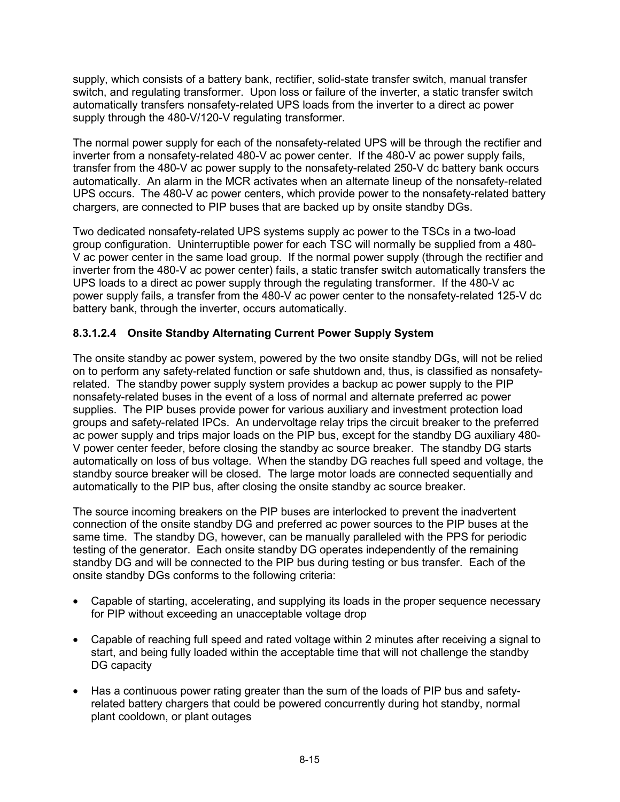supply, which consists of a battery bank, rectifier, solid-state transfer switch, manual transfer switch, and regulating transformer. Upon loss or failure of the inverter, a static transfer switch automatically transfers nonsafety-related UPS loads from the inverter to a direct ac power supply through the 480-V/120-V regulating transformer.

The normal power supply for each of the nonsafety-related UPS will be through the rectifier and inverter from a nonsafety-related 480-V ac power center. If the 480-V ac power supply fails, transfer from the 480-V ac power supply to the nonsafety-related 250-V dc battery bank occurs automatically. An alarm in the MCR activates when an alternate lineup of the nonsafety-related UPS occurs. The 480-V ac power centers, which provide power to the nonsafety-related battery chargers, are connected to PIP buses that are backed up by onsite standby DGs.

Two dedicated nonsafety-related UPS systems supply ac power to the TSCs in a two-load group configuration. Uninterruptible power for each TSC will normally be supplied from a 480- V ac power center in the same load group. If the normal power supply (through the rectifier and inverter from the 480-V ac power center) fails, a static transfer switch automatically transfers the UPS loads to a direct ac power supply through the regulating transformer. If the 480-V ac power supply fails, a transfer from the 480-V ac power center to the nonsafety-related 125-V dc battery bank, through the inverter, occurs automatically.

### **8.3.1.2.4 Onsite Standby Alternating Current Power Supply System**

The onsite standby ac power system, powered by the two onsite standby DGs, will not be relied on to perform any safety-related function or safe shutdown and, thus, is classified as nonsafetyrelated. The standby power supply system provides a backup ac power supply to the PIP nonsafety-related buses in the event of a loss of normal and alternate preferred ac power supplies. The PIP buses provide power for various auxiliary and investment protection load groups and safety-related IPCs. An undervoltage relay trips the circuit breaker to the preferred ac power supply and trips major loads on the PIP bus, except for the standby DG auxiliary 480- V power center feeder, before closing the standby ac source breaker. The standby DG starts automatically on loss of bus voltage. When the standby DG reaches full speed and voltage, the standby source breaker will be closed. The large motor loads are connected sequentially and automatically to the PIP bus, after closing the onsite standby ac source breaker.

The source incoming breakers on the PIP buses are interlocked to prevent the inadvertent connection of the onsite standby DG and preferred ac power sources to the PIP buses at the same time. The standby DG, however, can be manually paralleled with the PPS for periodic testing of the generator. Each onsite standby DG operates independently of the remaining standby DG and will be connected to the PIP bus during testing or bus transfer. Each of the onsite standby DGs conforms to the following criteria:

- Capable of starting, accelerating, and supplying its loads in the proper sequence necessary for PIP without exceeding an unacceptable voltage drop
- Capable of reaching full speed and rated voltage within 2 minutes after receiving a signal to start, and being fully loaded within the acceptable time that will not challenge the standby DG capacity
- Has a continuous power rating greater than the sum of the loads of PIP bus and safetyrelated battery chargers that could be powered concurrently during hot standby, normal plant cooldown, or plant outages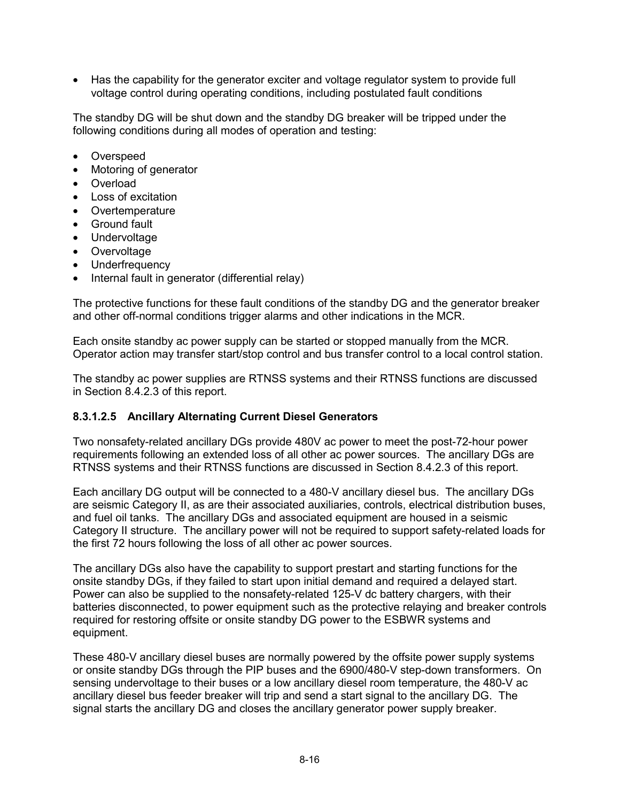• Has the capability for the generator exciter and voltage regulator system to provide full voltage control during operating conditions, including postulated fault conditions

The standby DG will be shut down and the standby DG breaker will be tripped under the following conditions during all modes of operation and testing:

- Overspeed
- Motoring of generator
- **Overload**
- Loss of excitation
- Overtemperature
- Ground fault
- Undervoltage
- Overvoltage
- Underfrequency
- Internal fault in generator (differential relay)

The protective functions for these fault conditions of the standby DG and the generator breaker and other off-normal conditions trigger alarms and other indications in the MCR.

Each onsite standby ac power supply can be started or stopped manually from the MCR. Operator action may transfer start/stop control and bus transfer control to a local control station.

The standby ac power supplies are RTNSS systems and their RTNSS functions are discussed in Section 8.4.2.3 of this report.

#### **8.3.1.2.5 Ancillary Alternating Current Diesel Generators**

Two nonsafety-related ancillary DGs provide 480V ac power to meet the post-72-hour power requirements following an extended loss of all other ac power sources. The ancillary DGs are RTNSS systems and their RTNSS functions are discussed in Section 8.4.2.3 of this report.

Each ancillary DG output will be connected to a 480-V ancillary diesel bus. The ancillary DGs are seismic Category II, as are their associated auxiliaries, controls, electrical distribution buses, and fuel oil tanks. The ancillary DGs and associated equipment are housed in a seismic Category II structure. The ancillary power will not be required to support safety-related loads for the first 72 hours following the loss of all other ac power sources.

The ancillary DGs also have the capability to support prestart and starting functions for the onsite standby DGs, if they failed to start upon initial demand and required a delayed start. Power can also be supplied to the nonsafety-related 125-V dc battery chargers, with their batteries disconnected, to power equipment such as the protective relaying and breaker controls required for restoring offsite or onsite standby DG power to the ESBWR systems and equipment.

These 480-V ancillary diesel buses are normally powered by the offsite power supply systems or onsite standby DGs through the PIP buses and the 6900/480-V step-down transformers. On sensing undervoltage to their buses or a low ancillary diesel room temperature, the 480-V ac ancillary diesel bus feeder breaker will trip and send a start signal to the ancillary DG. The signal starts the ancillary DG and closes the ancillary generator power supply breaker.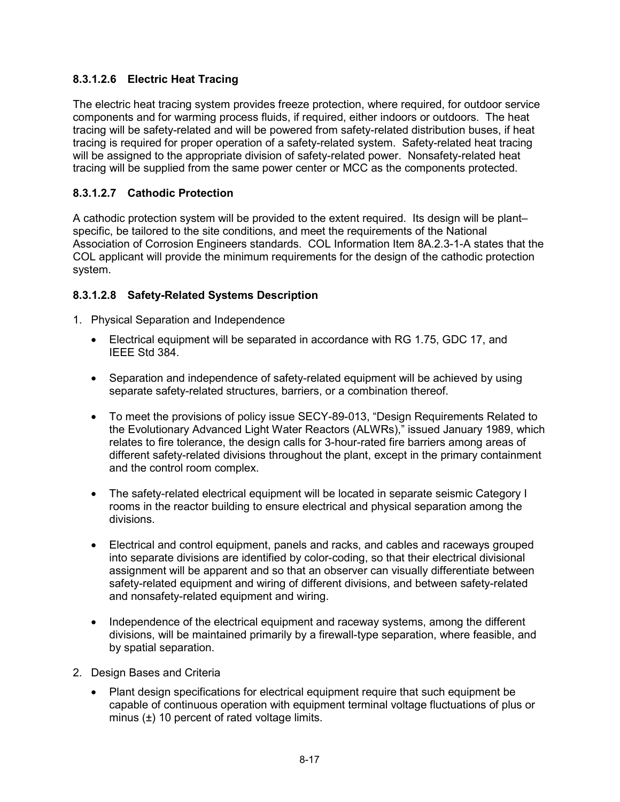## **8.3.1.2.6 Electric Heat Tracing**

The electric heat tracing system provides freeze protection, where required, for outdoor service components and for warming process fluids, if required, either indoors or outdoors. The heat tracing will be safety-related and will be powered from safety-related distribution buses, if heat tracing is required for proper operation of a safety-related system. Safety-related heat tracing will be assigned to the appropriate division of safety-related power. Nonsafety-related heat tracing will be supplied from the same power center or MCC as the components protected.

### **8.3.1.2.7 Cathodic Protection**

A cathodic protection system will be provided to the extent required. Its design will be plant– specific, be tailored to the site conditions, and meet the requirements of the National Association of Corrosion Engineers standards. COL Information Item 8A.2.3-1-A states that the COL applicant will provide the minimum requirements for the design of the cathodic protection system.

### **8.3.1.2.8 Safety-Related Systems Description**

- 1. Physical Separation and Independence
	- Electrical equipment will be separated in accordance with RG 1.75, GDC 17, and IEEE Std 384.
	- Separation and independence of safety-related equipment will be achieved by using separate safety-related structures, barriers, or a combination thereof.
	- To meet the provisions of policy issue SECY-89-013, "Design Requirements Related to the Evolutionary Advanced Light Water Reactors (ALWRs)," issued January 1989, which relates to fire tolerance, the design calls for 3-hour-rated fire barriers among areas of different safety-related divisions throughout the plant, except in the primary containment and the control room complex.
	- The safety-related electrical equipment will be located in separate seismic Category I rooms in the reactor building to ensure electrical and physical separation among the divisions.
	- Electrical and control equipment, panels and racks, and cables and raceways grouped into separate divisions are identified by color-coding, so that their electrical divisional assignment will be apparent and so that an observer can visually differentiate between safety-related equipment and wiring of different divisions, and between safety-related and nonsafety-related equipment and wiring.
	- Independence of the electrical equipment and raceway systems, among the different divisions, will be maintained primarily by a firewall-type separation, where feasible, and by spatial separation.
- 2. Design Bases and Criteria
	- Plant design specifications for electrical equipment require that such equipment be capable of continuous operation with equipment terminal voltage fluctuations of plus or minus (±) 10 percent of rated voltage limits.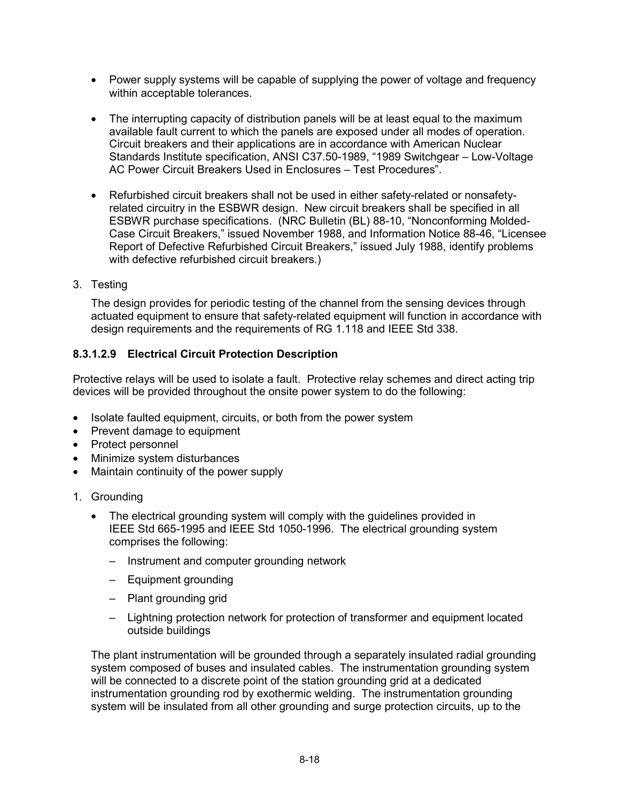- Power supply systems will be capable of supplying the power of voltage and frequency within acceptable tolerances.
- The interrupting capacity of distribution panels will be at least equal to the maximum available fault current to which the panels are exposed under all modes of operation. Circuit breakers and their applications are in accordance with American Nuclear Standards Institute specification, ANSI C37.50-1989, "1989 Switchgear – Low-Voltage AC Power Circuit Breakers Used in Enclosures – Test Procedures".
- Refurbished circuit breakers shall not be used in either safety-related or nonsafetyrelated circuitry in the ESBWR design. New circuit breakers shall be specified in all ESBWR purchase specifications. (NRC Bulletin (BL) 88-10, "Nonconforming Molded-Case Circuit Breakers," issued November 1988, and Information Notice 88-46, "Licensee Report of Defective Refurbished Circuit Breakers," issued July 1988, identify problems with defective refurbished circuit breakers.)
- 3. Testing

The design provides for periodic testing of the channel from the sensing devices through actuated equipment to ensure that safety-related equipment will function in accordance with design requirements and the requirements of RG 1.118 and IEEE Std 338.

### **8.3.1.2.9 Electrical Circuit Protection Description**

Protective relays will be used to isolate a fault. Protective relay schemes and direct acting trip devices will be provided throughout the onsite power system to do the following:

- Isolate faulted equipment, circuits, or both from the power system
- Prevent damage to equipment
- Protect personnel
- Minimize system disturbances
- Maintain continuity of the power supply
- 1. Grounding
	- The electrical grounding system will comply with the guidelines provided in IEEE Std 665-1995 and IEEE Std 1050-1996. The electrical grounding system comprises the following:
		- Instrument and computer grounding network
		- Equipment grounding
		- Plant grounding grid
		- Lightning protection network for protection of transformer and equipment located outside buildings

The plant instrumentation will be grounded through a separately insulated radial grounding system composed of buses and insulated cables. The instrumentation grounding system will be connected to a discrete point of the station grounding grid at a dedicated instrumentation grounding rod by exothermic welding. The instrumentation grounding system will be insulated from all other grounding and surge protection circuits, up to the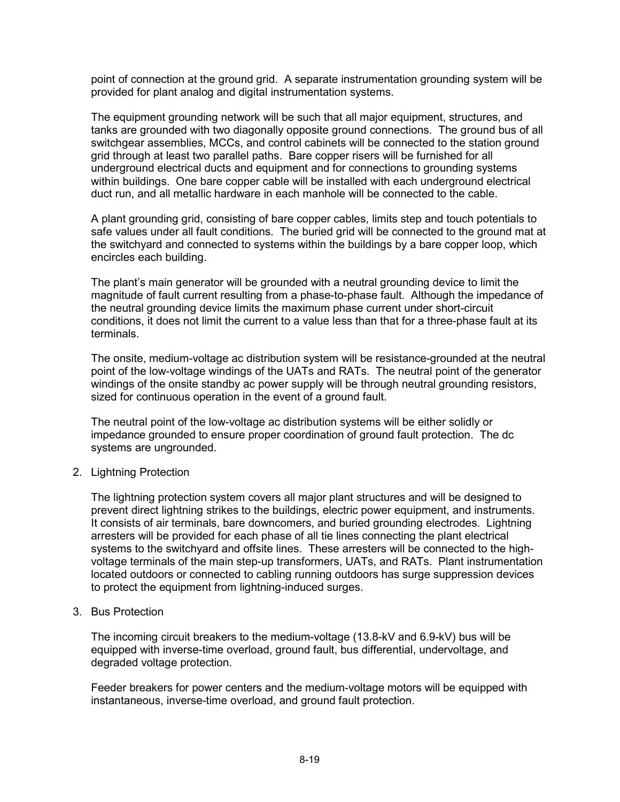point of connection at the ground grid. A separate instrumentation grounding system will be provided for plant analog and digital instrumentation systems.

The equipment grounding network will be such that all major equipment, structures, and tanks are grounded with two diagonally opposite ground connections. The ground bus of all switchgear assemblies, MCCs, and control cabinets will be connected to the station ground grid through at least two parallel paths. Bare copper risers will be furnished for all underground electrical ducts and equipment and for connections to grounding systems within buildings. One bare copper cable will be installed with each underground electrical duct run, and all metallic hardware in each manhole will be connected to the cable.

A plant grounding grid, consisting of bare copper cables, limits step and touch potentials to safe values under all fault conditions. The buried grid will be connected to the ground mat at the switchyard and connected to systems within the buildings by a bare copper loop, which encircles each building.

The plant's main generator will be grounded with a neutral grounding device to limit the magnitude of fault current resulting from a phase-to-phase fault. Although the impedance of the neutral grounding device limits the maximum phase current under short-circuit conditions, it does not limit the current to a value less than that for a three-phase fault at its terminals.

The onsite, medium-voltage ac distribution system will be resistance-grounded at the neutral point of the low-voltage windings of the UATs and RATs. The neutral point of the generator windings of the onsite standby ac power supply will be through neutral grounding resistors, sized for continuous operation in the event of a ground fault.

The neutral point of the low-voltage ac distribution systems will be either solidly or impedance grounded to ensure proper coordination of ground fault protection. The dc systems are ungrounded.

2. Lightning Protection

The lightning protection system covers all major plant structures and will be designed to prevent direct lightning strikes to the buildings, electric power equipment, and instruments. It consists of air terminals, bare downcomers, and buried grounding electrodes. Lightning arresters will be provided for each phase of all tie lines connecting the plant electrical systems to the switchyard and offsite lines. These arresters will be connected to the highvoltage terminals of the main step-up transformers, UATs, and RATs. Plant instrumentation located outdoors or connected to cabling running outdoors has surge suppression devices to protect the equipment from lightning-induced surges.

3. Bus Protection

The incoming circuit breakers to the medium-voltage (13.8-kV and 6.9-kV) bus will be equipped with inverse-time overload, ground fault, bus differential, undervoltage, and degraded voltage protection.

Feeder breakers for power centers and the medium-voltage motors will be equipped with instantaneous, inverse-time overload, and ground fault protection.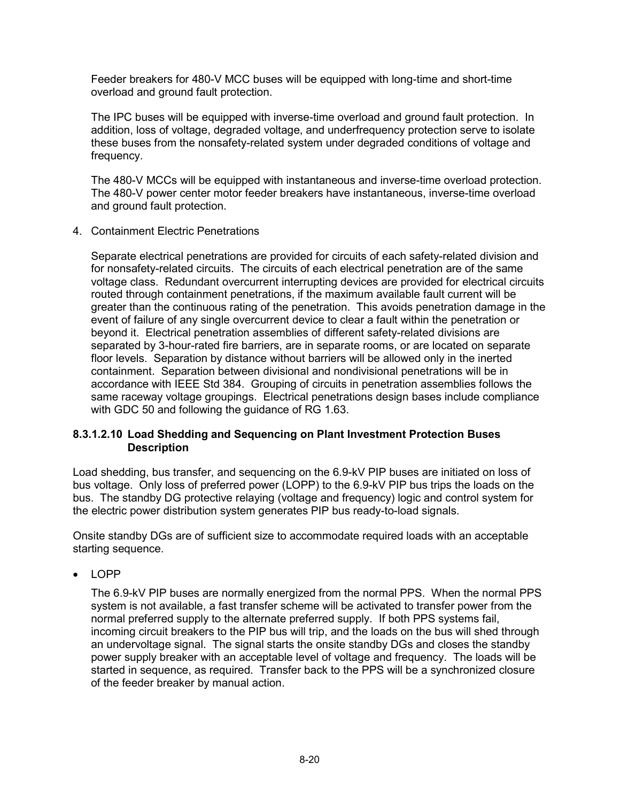Feeder breakers for 480-V MCC buses will be equipped with long-time and short-time overload and ground fault protection.

The IPC buses will be equipped with inverse-time overload and ground fault protection. In addition, loss of voltage, degraded voltage, and underfrequency protection serve to isolate these buses from the nonsafety-related system under degraded conditions of voltage and frequency.

The 480-V MCCs will be equipped with instantaneous and inverse-time overload protection. The 480-V power center motor feeder breakers have instantaneous, inverse-time overload and ground fault protection.

4. Containment Electric Penetrations

Separate electrical penetrations are provided for circuits of each safety-related division and for nonsafety-related circuits. The circuits of each electrical penetration are of the same voltage class. Redundant overcurrent interrupting devices are provided for electrical circuits routed through containment penetrations, if the maximum available fault current will be greater than the continuous rating of the penetration. This avoids penetration damage in the event of failure of any single overcurrent device to clear a fault within the penetration or beyond it. Electrical penetration assemblies of different safety-related divisions are separated by 3-hour-rated fire barriers, are in separate rooms, or are located on separate floor levels. Separation by distance without barriers will be allowed only in the inerted containment. Separation between divisional and nondivisional penetrations will be in accordance with IEEE Std 384. Grouping of circuits in penetration assemblies follows the same raceway voltage groupings. Electrical penetrations design bases include compliance with GDC 50 and following the guidance of RG 1.63.

#### **8.3.1.2.10 Load Shedding and Sequencing on Plant Investment Protection Buses Description**

Load shedding, bus transfer, and sequencing on the 6.9-kV PIP buses are initiated on loss of bus voltage. Only loss of preferred power (LOPP) to the 6.9-kV PIP bus trips the loads on the bus. The standby DG protective relaying (voltage and frequency) logic and control system for the electric power distribution system generates PIP bus ready-to-load signals.

Onsite standby DGs are of sufficient size to accommodate required loads with an acceptable starting sequence.

• LOPP

The 6.9-kV PIP buses are normally energized from the normal PPS. When the normal PPS system is not available, a fast transfer scheme will be activated to transfer power from the normal preferred supply to the alternate preferred supply. If both PPS systems fail, incoming circuit breakers to the PIP bus will trip, and the loads on the bus will shed through an undervoltage signal. The signal starts the onsite standby DGs and closes the standby power supply breaker with an acceptable level of voltage and frequency. The loads will be started in sequence, as required. Transfer back to the PPS will be a synchronized closure of the feeder breaker by manual action.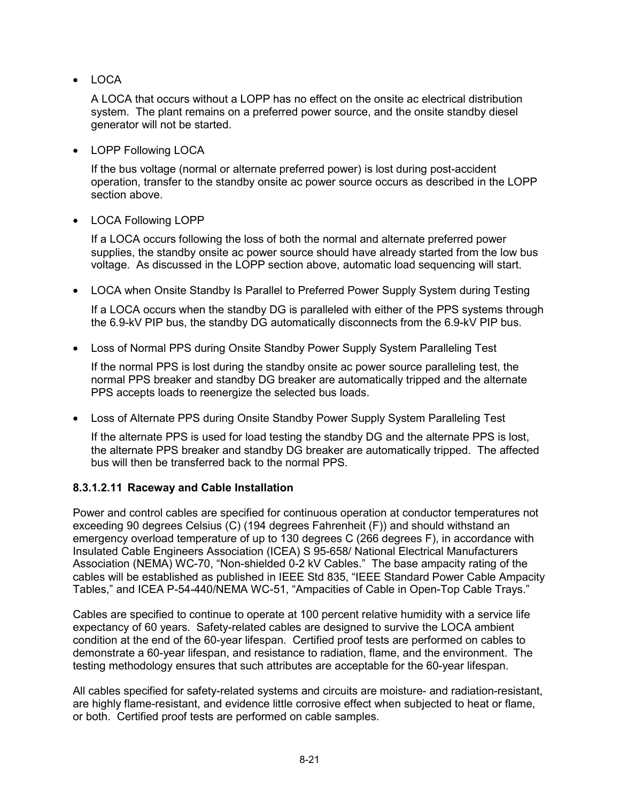• LOCA

A LOCA that occurs without a LOPP has no effect on the onsite ac electrical distribution system. The plant remains on a preferred power source, and the onsite standby diesel generator will not be started.

• LOPP Following LOCA

If the bus voltage (normal or alternate preferred power) is lost during post-accident operation, transfer to the standby onsite ac power source occurs as described in the LOPP section above.

• LOCA Following LOPP

If a LOCA occurs following the loss of both the normal and alternate preferred power supplies, the standby onsite ac power source should have already started from the low bus voltage. As discussed in the LOPP section above, automatic load sequencing will start.

• LOCA when Onsite Standby Is Parallel to Preferred Power Supply System during Testing

If a LOCA occurs when the standby DG is paralleled with either of the PPS systems through the 6.9-kV PIP bus, the standby DG automatically disconnects from the 6.9-kV PIP bus.

• Loss of Normal PPS during Onsite Standby Power Supply System Paralleling Test

If the normal PPS is lost during the standby onsite ac power source paralleling test, the normal PPS breaker and standby DG breaker are automatically tripped and the alternate PPS accepts loads to reenergize the selected bus loads.

• Loss of Alternate PPS during Onsite Standby Power Supply System Paralleling Test

If the alternate PPS is used for load testing the standby DG and the alternate PPS is lost, the alternate PPS breaker and standby DG breaker are automatically tripped. The affected bus will then be transferred back to the normal PPS.

### **8.3.1.2.11 Raceway and Cable Installation**

Power and control cables are specified for continuous operation at conductor temperatures not exceeding 90 degrees Celsius (C) (194 degrees Fahrenheit (F)) and should withstand an emergency overload temperature of up to 130 degrees C (266 degrees F), in accordance with Insulated Cable Engineers Association (ICEA) S 95-658/ National Electrical Manufacturers Association (NEMA) WC-70, "Non-shielded 0-2 kV Cables." The base ampacity rating of the cables will be established as published in IEEE Std 835, "IEEE Standard Power Cable Ampacity Tables," and ICEA P-54-440/NEMA WC-51, "Ampacities of Cable in Open-Top Cable Trays."

Cables are specified to continue to operate at 100 percent relative humidity with a service life expectancy of 60 years. Safety-related cables are designed to survive the LOCA ambient condition at the end of the 60-year lifespan. Certified proof tests are performed on cables to demonstrate a 60-year lifespan, and resistance to radiation, flame, and the environment. The testing methodology ensures that such attributes are acceptable for the 60-year lifespan.

All cables specified for safety-related systems and circuits are moisture- and radiation-resistant, are highly flame-resistant, and evidence little corrosive effect when subjected to heat or flame, or both. Certified proof tests are performed on cable samples.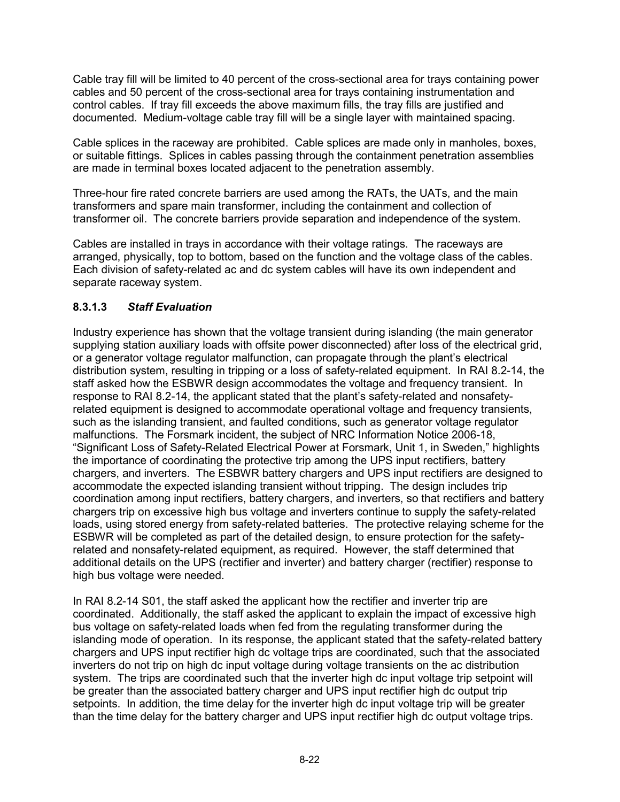Cable tray fill will be limited to 40 percent of the cross-sectional area for trays containing power cables and 50 percent of the cross-sectional area for trays containing instrumentation and control cables. If tray fill exceeds the above maximum fills, the tray fills are justified and documented. Medium-voltage cable tray fill will be a single layer with maintained spacing.

Cable splices in the raceway are prohibited. Cable splices are made only in manholes, boxes, or suitable fittings. Splices in cables passing through the containment penetration assemblies are made in terminal boxes located adjacent to the penetration assembly.

Three-hour fire rated concrete barriers are used among the RATs, the UATs, and the main transformers and spare main transformer, including the containment and collection of transformer oil. The concrete barriers provide separation and independence of the system.

Cables are installed in trays in accordance with their voltage ratings. The raceways are arranged, physically, top to bottom, based on the function and the voltage class of the cables. Each division of safety-related ac and dc system cables will have its own independent and separate raceway system.

### **8.3.1.3** *Staff Evaluation*

Industry experience has shown that the voltage transient during islanding (the main generator supplying station auxiliary loads with offsite power disconnected) after loss of the electrical grid, or a generator voltage regulator malfunction, can propagate through the plant's electrical distribution system, resulting in tripping or a loss of safety-related equipment. In RAI 8.2-14, the staff asked how the ESBWR design accommodates the voltage and frequency transient. In response to RAI 8.2-14, the applicant stated that the plant's safety-related and nonsafetyrelated equipment is designed to accommodate operational voltage and frequency transients, such as the islanding transient, and faulted conditions, such as generator voltage regulator malfunctions. The Forsmark incident, the subject of NRC Information Notice 2006-18, "Significant Loss of Safety-Related Electrical Power at Forsmark, Unit 1, in Sweden," highlights the importance of coordinating the protective trip among the UPS input rectifiers, battery chargers, and inverters. The ESBWR battery chargers and UPS input rectifiers are designed to accommodate the expected islanding transient without tripping. The design includes trip coordination among input rectifiers, battery chargers, and inverters, so that rectifiers and battery chargers trip on excessive high bus voltage and inverters continue to supply the safety-related loads, using stored energy from safety-related batteries. The protective relaying scheme for the ESBWR will be completed as part of the detailed design, to ensure protection for the safetyrelated and nonsafety-related equipment, as required. However, the staff determined that additional details on the UPS (rectifier and inverter) and battery charger (rectifier) response to high bus voltage were needed.

In RAI 8.2-14 S01, the staff asked the applicant how the rectifier and inverter trip are coordinated. Additionally, the staff asked the applicant to explain the impact of excessive high bus voltage on safety-related loads when fed from the regulating transformer during the islanding mode of operation. In its response, the applicant stated that the safety-related battery chargers and UPS input rectifier high dc voltage trips are coordinated, such that the associated inverters do not trip on high dc input voltage during voltage transients on the ac distribution system. The trips are coordinated such that the inverter high dc input voltage trip setpoint will be greater than the associated battery charger and UPS input rectifier high dc output trip setpoints. In addition, the time delay for the inverter high dc input voltage trip will be greater than the time delay for the battery charger and UPS input rectifier high dc output voltage trips.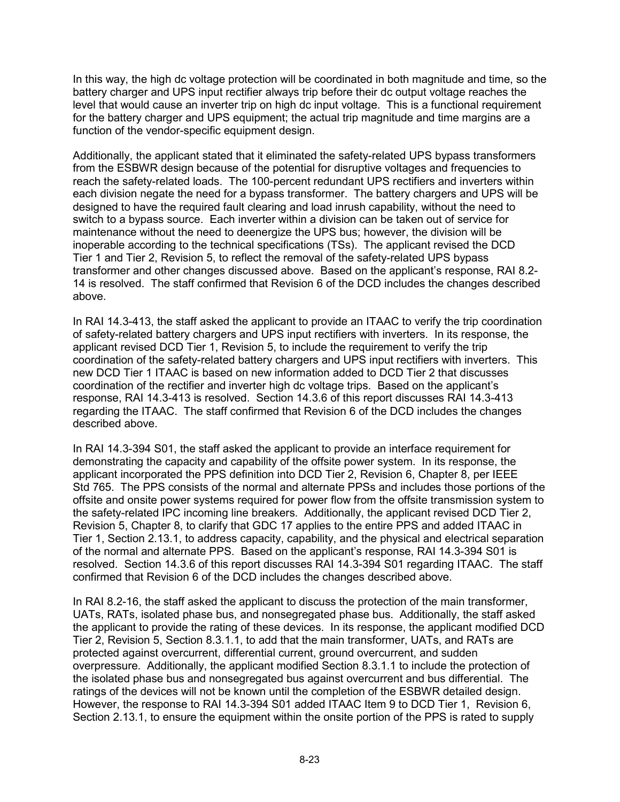In this way, the high dc voltage protection will be coordinated in both magnitude and time, so the battery charger and UPS input rectifier always trip before their dc output voltage reaches the level that would cause an inverter trip on high dc input voltage. This is a functional requirement for the battery charger and UPS equipment; the actual trip magnitude and time margins are a function of the vendor-specific equipment design.

Additionally, the applicant stated that it eliminated the safety-related UPS bypass transformers from the ESBWR design because of the potential for disruptive voltages and frequencies to reach the safety-related loads. The 100-percent redundant UPS rectifiers and inverters within each division negate the need for a bypass transformer. The battery chargers and UPS will be designed to have the required fault clearing and load inrush capability, without the need to switch to a bypass source. Each inverter within a division can be taken out of service for maintenance without the need to deenergize the UPS bus; however, the division will be inoperable according to the technical specifications (TSs). The applicant revised the DCD Tier 1 and Tier 2, Revision 5, to reflect the removal of the safety-related UPS bypass transformer and other changes discussed above. Based on the applicant's response, RAI 8.2- 14 is resolved. The staff confirmed that Revision 6 of the DCD includes the changes described above.

In RAI 14.3-413, the staff asked the applicant to provide an ITAAC to verify the trip coordination of safety-related battery chargers and UPS input rectifiers with inverters. In its response, the applicant revised DCD Tier 1, Revision 5, to include the requirement to verify the trip coordination of the safety-related battery chargers and UPS input rectifiers with inverters. This new DCD Tier 1 ITAAC is based on new information added to DCD Tier 2 that discusses coordination of the rectifier and inverter high dc voltage trips. Based on the applicant's response, RAI 14.3-413 is resolved. Section 14.3.6 of this report discusses RAI 14.3-413 regarding the ITAAC. The staff confirmed that Revision 6 of the DCD includes the changes described above.

In RAI 14.3-394 S01, the staff asked the applicant to provide an interface requirement for demonstrating the capacity and capability of the offsite power system. In its response, the applicant incorporated the PPS definition into DCD Tier 2, Revision 6, Chapter 8, per IEEE Std 765. The PPS consists of the normal and alternate PPSs and includes those portions of the offsite and onsite power systems required for power flow from the offsite transmission system to the safety-related IPC incoming line breakers. Additionally, the applicant revised DCD Tier 2, Revision 5, Chapter 8, to clarify that GDC 17 applies to the entire PPS and added ITAAC in Tier 1, Section 2.13.1, to address capacity, capability, and the physical and electrical separation of the normal and alternate PPS. Based on the applicant's response, RAI 14.3-394 S01 is resolved. Section 14.3.6 of this report discusses RAI 14.3-394 S01 regarding ITAAC. The staff confirmed that Revision 6 of the DCD includes the changes described above.

In RAI 8.2-16, the staff asked the applicant to discuss the protection of the main transformer, UATs, RATs, isolated phase bus, and nonsegregated phase bus. Additionally, the staff asked the applicant to provide the rating of these devices. In its response, the applicant modified DCD Tier 2, Revision 5, Section 8.3.1.1, to add that the main transformer, UATs, and RATs are protected against overcurrent, differential current, ground overcurrent, and sudden overpressure. Additionally, the applicant modified Section 8.3.1.1 to include the protection of the isolated phase bus and nonsegregated bus against overcurrent and bus differential. The ratings of the devices will not be known until the completion of the ESBWR detailed design. However, the response to RAI 14.3-394 S01 added ITAAC Item 9 to DCD Tier 1, Revision 6, Section 2.13.1, to ensure the equipment within the onsite portion of the PPS is rated to supply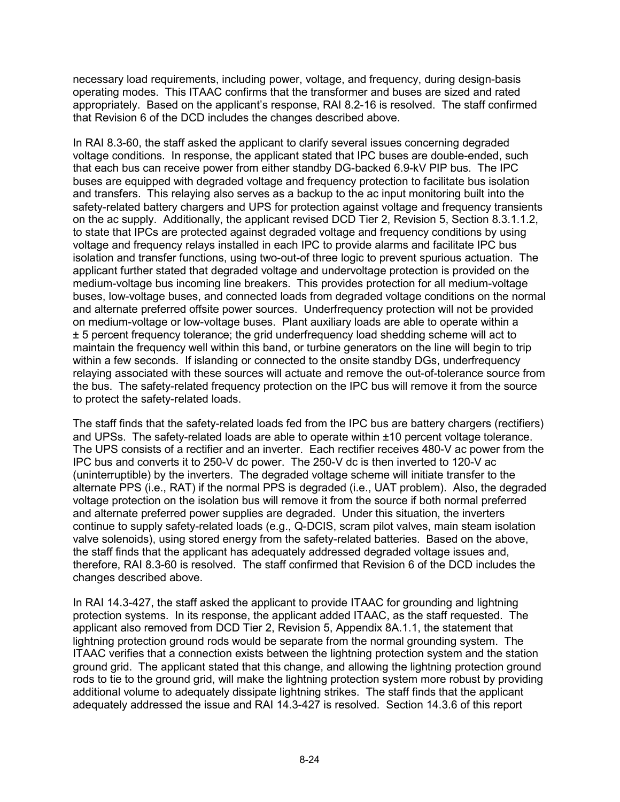necessary load requirements, including power, voltage, and frequency, during design-basis operating modes. This ITAAC confirms that the transformer and buses are sized and rated appropriately. Based on the applicant's response, RAI 8.2-16 is resolved. The staff confirmed that Revision 6 of the DCD includes the changes described above.

In RAI 8.3-60, the staff asked the applicant to clarify several issues concerning degraded voltage conditions. In response, the applicant stated that IPC buses are double-ended, such that each bus can receive power from either standby DG-backed 6.9-kV PIP bus. The IPC buses are equipped with degraded voltage and frequency protection to facilitate bus isolation and transfers. This relaying also serves as a backup to the ac input monitoring built into the safety-related battery chargers and UPS for protection against voltage and frequency transients on the ac supply. Additionally, the applicant revised DCD Tier 2, Revision 5, Section 8.3.1.1.2, to state that IPCs are protected against degraded voltage and frequency conditions by using voltage and frequency relays installed in each IPC to provide alarms and facilitate IPC bus isolation and transfer functions, using two-out-of three logic to prevent spurious actuation. The applicant further stated that degraded voltage and undervoltage protection is provided on the medium-voltage bus incoming line breakers. This provides protection for all medium-voltage buses, low-voltage buses, and connected loads from degraded voltage conditions on the normal and alternate preferred offsite power sources. Underfrequency protection will not be provided on medium-voltage or low-voltage buses. Plant auxiliary loads are able to operate within a ± 5 percent frequency tolerance; the grid underfrequency load shedding scheme will act to maintain the frequency well within this band, or turbine generators on the line will begin to trip within a few seconds. If islanding or connected to the onsite standby DGs, underfrequency relaying associated with these sources will actuate and remove the out-of-tolerance source from the bus. The safety-related frequency protection on the IPC bus will remove it from the source to protect the safety-related loads.

The staff finds that the safety-related loads fed from the IPC bus are battery chargers (rectifiers) and UPSs. The safety-related loads are able to operate within ±10 percent voltage tolerance. The UPS consists of a rectifier and an inverter. Each rectifier receives 480-V ac power from the IPC bus and converts it to 250-V dc power. The 250-V dc is then inverted to 120-V ac (uninterruptible) by the inverters. The degraded voltage scheme will initiate transfer to the alternate PPS (i.e., RAT) if the normal PPS is degraded (i.e., UAT problem). Also, the degraded voltage protection on the isolation bus will remove it from the source if both normal preferred and alternate preferred power supplies are degraded. Under this situation, the inverters continue to supply safety-related loads (e.g., Q-DCIS, scram pilot valves, main steam isolation valve solenoids), using stored energy from the safety-related batteries. Based on the above, the staff finds that the applicant has adequately addressed degraded voltage issues and, therefore, RAI 8.3-60 is resolved. The staff confirmed that Revision 6 of the DCD includes the changes described above.

In RAI 14.3-427, the staff asked the applicant to provide ITAAC for grounding and lightning protection systems. In its response, the applicant added ITAAC, as the staff requested. The applicant also removed from DCD Tier 2, Revision 5, Appendix 8A.1.1, the statement that lightning protection ground rods would be separate from the normal grounding system. The ITAAC verifies that a connection exists between the lightning protection system and the station ground grid. The applicant stated that this change, and allowing the lightning protection ground rods to tie to the ground grid, will make the lightning protection system more robust by providing additional volume to adequately dissipate lightning strikes. The staff finds that the applicant adequately addressed the issue and RAI 14.3-427 is resolved. Section 14.3.6 of this report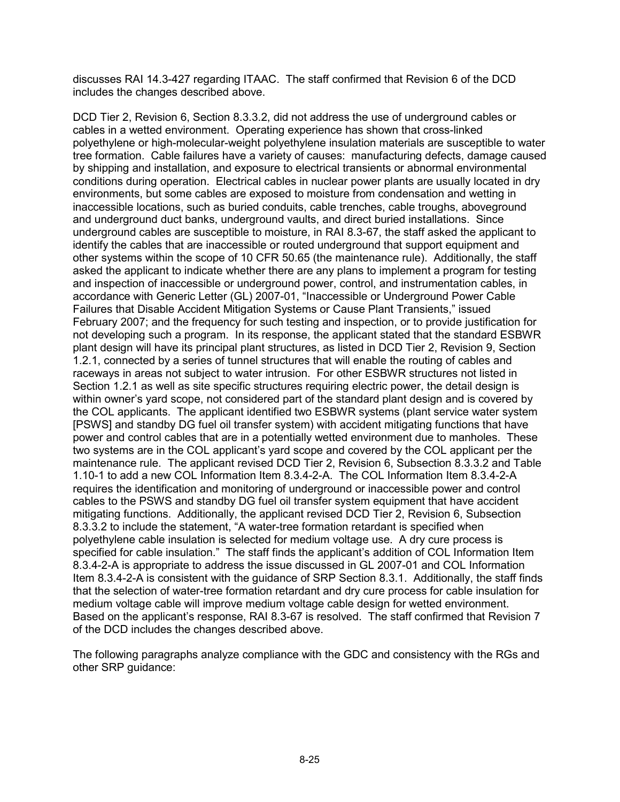discusses RAI 14.3-427 regarding ITAAC. The staff confirmed that Revision 6 of the DCD includes the changes described above.

DCD Tier 2, Revision 6, Section 8.3.3.2, did not address the use of underground cables or cables in a wetted environment. Operating experience has shown that cross-linked polyethylene or high-molecular-weight polyethylene insulation materials are susceptible to water tree formation. Cable failures have a variety of causes: manufacturing defects, damage caused by shipping and installation, and exposure to electrical transients or abnormal environmental conditions during operation. Electrical cables in nuclear power plants are usually located in dry environments, but some cables are exposed to moisture from condensation and wetting in inaccessible locations, such as buried conduits, cable trenches, cable troughs, aboveground and underground duct banks, underground vaults, and direct buried installations. Since underground cables are susceptible to moisture, in RAI 8.3-67, the staff asked the applicant to identify the cables that are inaccessible or routed underground that support equipment and other systems within the scope of 10 CFR 50.65 (the maintenance rule). Additionally, the staff asked the applicant to indicate whether there are any plans to implement a program for testing and inspection of inaccessible or underground power, control, and instrumentation cables, in accordance with Generic Letter (GL) 2007-01, "Inaccessible or Underground Power Cable Failures that Disable Accident Mitigation Systems or Cause Plant Transients," issued February 2007; and the frequency for such testing and inspection, or to provide justification for not developing such a program. In its response, the applicant stated that the standard ESBWR plant design will have its principal plant structures, as listed in DCD Tier 2, Revision 9, Section 1.2.1, connected by a series of tunnel structures that will enable the routing of cables and raceways in areas not subject to water intrusion. For other ESBWR structures not listed in Section 1.2.1 as well as site specific structures requiring electric power, the detail design is within owner's yard scope, not considered part of the standard plant design and is covered by the COL applicants. The applicant identified two ESBWR systems (plant service water system [PSWS] and standby DG fuel oil transfer system) with accident mitigating functions that have power and control cables that are in a potentially wetted environment due to manholes. These two systems are in the COL applicant's yard scope and covered by the COL applicant per the maintenance rule. The applicant revised DCD Tier 2, Revision 6, Subsection 8.3.3.2 and Table 1.10-1 to add a new COL Information Item 8.3.4-2-A. The COL Information Item 8.3.4-2-A requires the identification and monitoring of underground or inaccessible power and control cables to the PSWS and standby DG fuel oil transfer system equipment that have accident mitigating functions. Additionally, the applicant revised DCD Tier 2, Revision 6, Subsection 8.3.3.2 to include the statement, "A water-tree formation retardant is specified when polyethylene cable insulation is selected for medium voltage use. A dry cure process is specified for cable insulation." The staff finds the applicant's addition of COL Information Item 8.3.4-2-A is appropriate to address the issue discussed in GL 2007-01 and COL Information Item 8.3.4-2-A is consistent with the guidance of SRP Section 8.3.1. Additionally, the staff finds that the selection of water-tree formation retardant and dry cure process for cable insulation for medium voltage cable will improve medium voltage cable design for wetted environment. Based on the applicant's response, RAI 8.3-67 is resolved. The staff confirmed that Revision 7 of the DCD includes the changes described above.

The following paragraphs analyze compliance with the GDC and consistency with the RGs and other SRP guidance: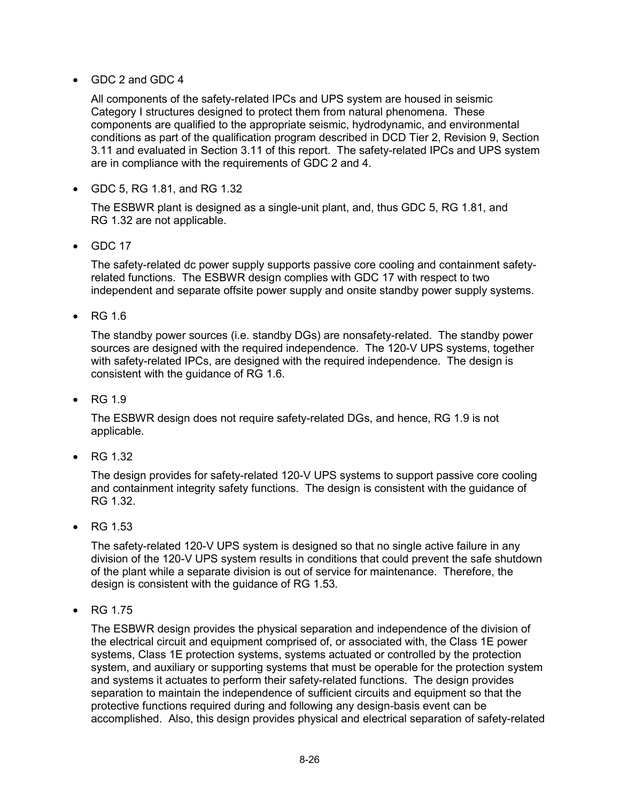### • GDC 2 and GDC 4

All components of the safety-related IPCs and UPS system are housed in seismic Category I structures designed to protect them from natural phenomena. These components are qualified to the appropriate seismic, hydrodynamic, and environmental conditions as part of the qualification program described in DCD Tier 2, Revision 9, Section 3.11 and evaluated in Section 3.11 of this report. The safety-related IPCs and UPS system are in compliance with the requirements of GDC 2 and 4.

• GDC 5, RG 1.81, and RG 1.32

The ESBWR plant is designed as a single-unit plant, and, thus GDC 5, RG 1.81, and RG 1.32 are not applicable.

• GDC 17

The safety-related dc power supply supports passive core cooling and containment safetyrelated functions. The ESBWR design complies with GDC 17 with respect to two independent and separate offsite power supply and onsite standby power supply systems.

• RG 1.6

The standby power sources (i.e. standby DGs) are nonsafety-related. The standby power sources are designed with the required independence. The 120-V UPS systems, together with safety-related IPCs, are designed with the required independence. The design is consistent with the guidance of RG 1.6.

• RG 1.9

The ESBWR design does not require safety-related DGs, and hence, RG 1.9 is not applicable.

• RG 1.32

The design provides for safety-related 120-V UPS systems to support passive core cooling and containment integrity safety functions. The design is consistent with the guidance of RG 1.32.

• RG 1.53

The safety-related 120-V UPS system is designed so that no single active failure in any division of the 120-V UPS system results in conditions that could prevent the safe shutdown of the plant while a separate division is out of service for maintenance. Therefore, the design is consistent with the guidance of RG 1.53.

• RG 1.75

The ESBWR design provides the physical separation and independence of the division of the electrical circuit and equipment comprised of, or associated with, the Class 1E power systems, Class 1E protection systems, systems actuated or controlled by the protection system, and auxiliary or supporting systems that must be operable for the protection system and systems it actuates to perform their safety-related functions. The design provides separation to maintain the independence of sufficient circuits and equipment so that the protective functions required during and following any design-basis event can be accomplished. Also, this design provides physical and electrical separation of safety-related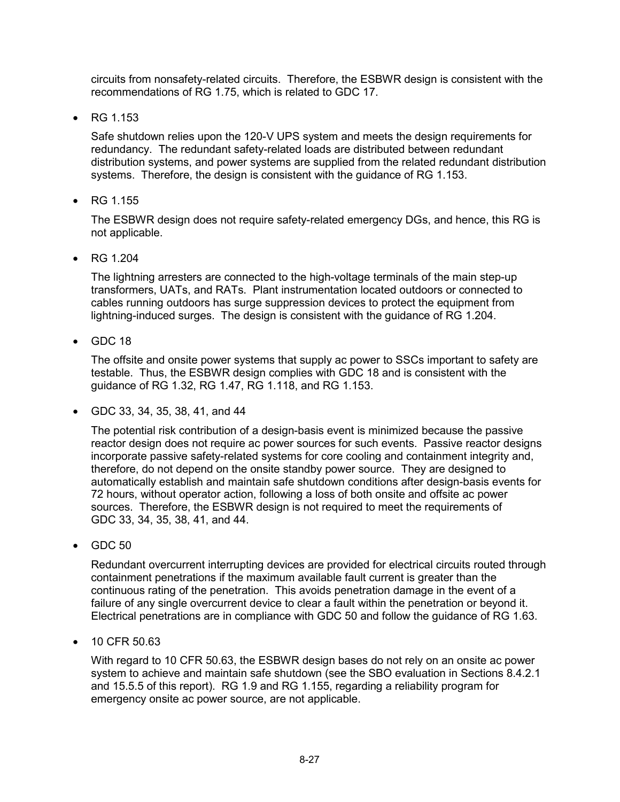circuits from nonsafety-related circuits. Therefore, the ESBWR design is consistent with the recommendations of RG 1.75, which is related to GDC 17.

• RG 1.153

Safe shutdown relies upon the 120-V UPS system and meets the design requirements for redundancy. The redundant safety-related loads are distributed between redundant distribution systems, and power systems are supplied from the related redundant distribution systems. Therefore, the design is consistent with the guidance of RG 1.153.

• RG 1.155

The ESBWR design does not require safety-related emergency DGs, and hence, this RG is not applicable.

• RG 1.204

The lightning arresters are connected to the high-voltage terminals of the main step-up transformers, UATs, and RATs. Plant instrumentation located outdoors or connected to cables running outdoors has surge suppression devices to protect the equipment from lightning-induced surges. The design is consistent with the guidance of RG 1.204.

• GDC 18

The offsite and onsite power systems that supply ac power to SSCs important to safety are testable. Thus, the ESBWR design complies with GDC 18 and is consistent with the guidance of RG 1.32, RG 1.47, RG 1.118, and RG 1.153.

• GDC 33, 34, 35, 38, 41, and 44

The potential risk contribution of a design-basis event is minimized because the passive reactor design does not require ac power sources for such events. Passive reactor designs incorporate passive safety-related systems for core cooling and containment integrity and, therefore, do not depend on the onsite standby power source. They are designed to automatically establish and maintain safe shutdown conditions after design-basis events for 72 hours, without operator action, following a loss of both onsite and offsite ac power sources. Therefore, the ESBWR design is not required to meet the requirements of GDC 33, 34, 35, 38, 41, and 44.

• GDC 50

Redundant overcurrent interrupting devices are provided for electrical circuits routed through containment penetrations if the maximum available fault current is greater than the continuous rating of the penetration. This avoids penetration damage in the event of a failure of any single overcurrent device to clear a fault within the penetration or beyond it. Electrical penetrations are in compliance with GDC 50 and follow the guidance of RG 1.63.

• 10 CFR 50.63

With regard to 10 CFR 50.63, the ESBWR design bases do not rely on an onsite ac power system to achieve and maintain safe shutdown (see the SBO evaluation in Sections 8.4.2.1 and 15.5.5 of this report). RG 1.9 and RG 1.155, regarding a reliability program for emergency onsite ac power source, are not applicable.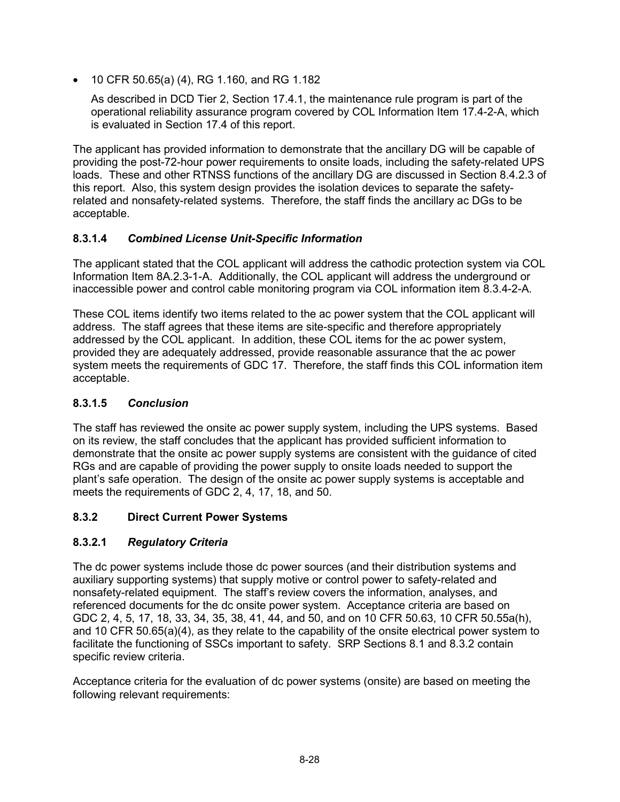• 10 CFR 50.65(a) (4), RG 1.160, and RG 1.182

As described in DCD Tier 2, Section 17.4.1, the maintenance rule program is part of the operational reliability assurance program covered by COL Information Item 17.4-2-A, which is evaluated in Section 17.4 of this report.

The applicant has provided information to demonstrate that the ancillary DG will be capable of providing the post-72-hour power requirements to onsite loads, including the safety-related UPS loads. These and other RTNSS functions of the ancillary DG are discussed in Section 8.4.2.3 of this report. Also, this system design provides the isolation devices to separate the safetyrelated and nonsafety-related systems. Therefore, the staff finds the ancillary ac DGs to be acceptable.

### **8.3.1.4** *Combined License Unit-Specific Information*

The applicant stated that the COL applicant will address the cathodic protection system via COL Information Item 8A.2.3-1-A. Additionally, the COL applicant will address the underground or inaccessible power and control cable monitoring program via COL information item 8.3.4-2-A.

These COL items identify two items related to the ac power system that the COL applicant will address. The staff agrees that these items are site-specific and therefore appropriately addressed by the COL applicant. In addition, these COL items for the ac power system, provided they are adequately addressed, provide reasonable assurance that the ac power system meets the requirements of GDC 17. Therefore, the staff finds this COL information item acceptable.

# **8.3.1.5** *Conclusion*

The staff has reviewed the onsite ac power supply system, including the UPS systems. Based on its review, the staff concludes that the applicant has provided sufficient information to demonstrate that the onsite ac power supply systems are consistent with the guidance of cited RGs and are capable of providing the power supply to onsite loads needed to support the plant's safe operation. The design of the onsite ac power supply systems is acceptable and meets the requirements of GDC 2, 4, 17, 18, and 50.

### **8.3.2 Direct Current Power Systems**

# **8.3.2.1** *Regulatory Criteria*

The dc power systems include those dc power sources (and their distribution systems and auxiliary supporting systems) that supply motive or control power to safety-related and nonsafety-related equipment. The staff's review covers the information, analyses, and referenced documents for the dc onsite power system. Acceptance criteria are based on GDC 2, 4, 5, 17, 18, 33, 34, 35, 38, 41, 44, and 50, and on 10 CFR 50.63, 10 CFR 50.55a(h), and 10 CFR 50.65(a)(4), as they relate to the capability of the onsite electrical power system to facilitate the functioning of SSCs important to safety. SRP Sections 8.1 and 8.3.2 contain specific review criteria.

Acceptance criteria for the evaluation of dc power systems (onsite) are based on meeting the following relevant requirements: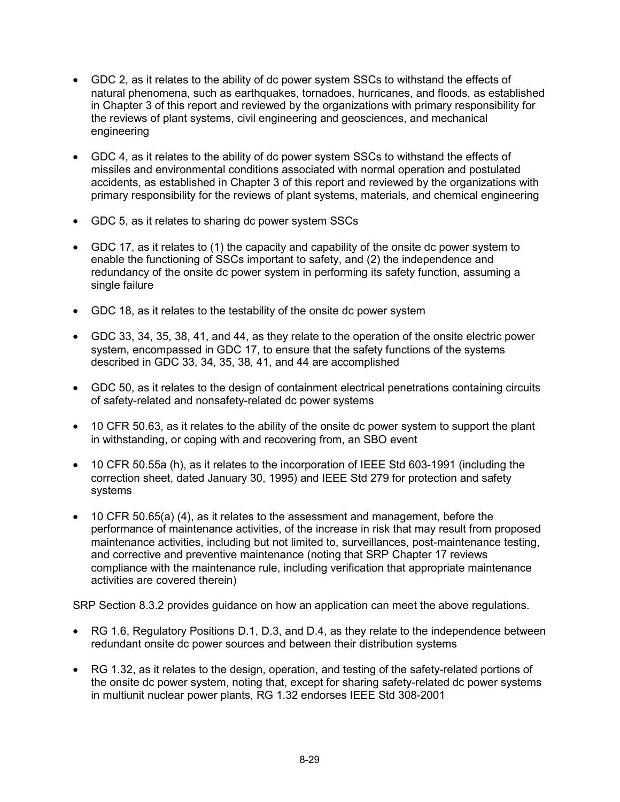- GDC 2, as it relates to the ability of dc power system SSCs to withstand the effects of natural phenomena, such as earthquakes, tornadoes, hurricanes, and floods, as established in Chapter 3 of this report and reviewed by the organizations with primary responsibility for the reviews of plant systems, civil engineering and geosciences, and mechanical engineering
- GDC 4, as it relates to the ability of dc power system SSCs to withstand the effects of missiles and environmental conditions associated with normal operation and postulated accidents, as established in Chapter 3 of this report and reviewed by the organizations with primary responsibility for the reviews of plant systems, materials, and chemical engineering
- GDC 5, as it relates to sharing dc power system SSCs
- GDC 17, as it relates to (1) the capacity and capability of the onsite dc power system to enable the functioning of SSCs important to safety, and (2) the independence and redundancy of the onsite dc power system in performing its safety function, assuming a single failure
- GDC 18, as it relates to the testability of the onsite dc power system
- GDC 33, 34, 35, 38, 41, and 44, as they relate to the operation of the onsite electric power system, encompassed in GDC 17, to ensure that the safety functions of the systems described in GDC 33, 34, 35, 38, 41, and 44 are accomplished
- GDC 50, as it relates to the design of containment electrical penetrations containing circuits of safety-related and nonsafety-related dc power systems
- 10 CFR 50.63, as it relates to the ability of the onsite dc power system to support the plant in withstanding, or coping with and recovering from, an SBO event
- 10 CFR 50.55a (h), as it relates to the incorporation of IEEE Std 603-1991 (including the correction sheet, dated January 30, 1995) and IEEE Std 279 for protection and safety systems
- 10 CFR 50.65(a) (4), as it relates to the assessment and management, before the performance of maintenance activities, of the increase in risk that may result from proposed maintenance activities, including but not limited to, surveillances, post-maintenance testing, and corrective and preventive maintenance (noting that SRP Chapter 17 reviews compliance with the maintenance rule, including verification that appropriate maintenance activities are covered therein)

SRP Section 8.3.2 provides guidance on how an application can meet the above regulations.

- RG 1.6, Regulatory Positions D.1, D.3, and D.4, as they relate to the independence between redundant onsite dc power sources and between their distribution systems
- RG 1.32, as it relates to the design, operation, and testing of the safety-related portions of the onsite dc power system, noting that, except for sharing safety-related dc power systems in multiunit nuclear power plants, RG 1.32 endorses IEEE Std 308-2001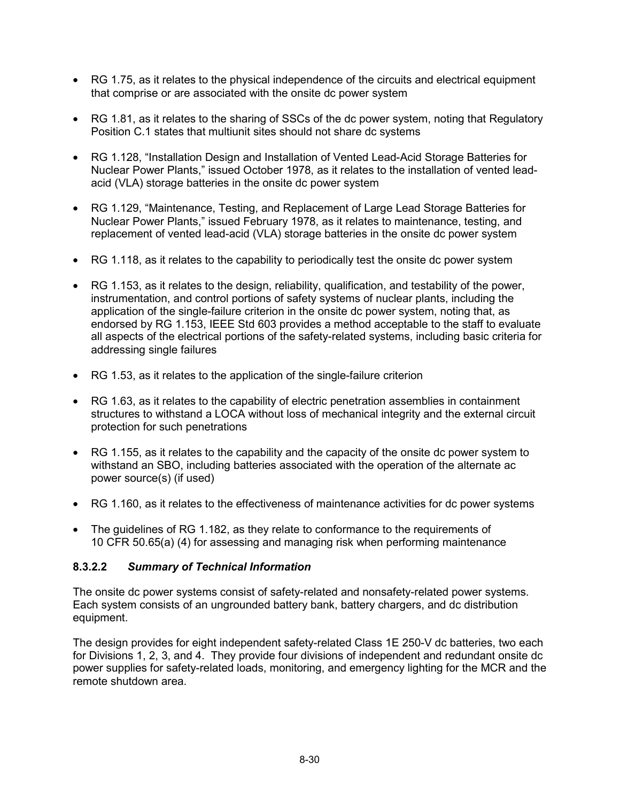- RG 1.75, as it relates to the physical independence of the circuits and electrical equipment that comprise or are associated with the onsite dc power system
- RG 1.81, as it relates to the sharing of SSCs of the dc power system, noting that Regulatory Position C.1 states that multiunit sites should not share dc systems
- RG 1.128, "Installation Design and Installation of Vented Lead-Acid Storage Batteries for Nuclear Power Plants," issued October 1978, as it relates to the installation of vented leadacid (VLA) storage batteries in the onsite dc power system
- RG 1.129, "Maintenance, Testing, and Replacement of Large Lead Storage Batteries for Nuclear Power Plants," issued February 1978, as it relates to maintenance, testing, and replacement of vented lead-acid (VLA) storage batteries in the onsite dc power system
- RG 1.118, as it relates to the capability to periodically test the onsite dc power system
- RG 1.153, as it relates to the design, reliability, qualification, and testability of the power, instrumentation, and control portions of safety systems of nuclear plants, including the application of the single-failure criterion in the onsite dc power system, noting that, as endorsed by RG 1.153, IEEE Std 603 provides a method acceptable to the staff to evaluate all aspects of the electrical portions of the safety-related systems, including basic criteria for addressing single failures
- RG 1.53, as it relates to the application of the single-failure criterion
- RG 1.63, as it relates to the capability of electric penetration assemblies in containment structures to withstand a LOCA without loss of mechanical integrity and the external circuit protection for such penetrations
- RG 1.155, as it relates to the capability and the capacity of the onsite dc power system to withstand an SBO, including batteries associated with the operation of the alternate ac power source(s) (if used)
- RG 1.160, as it relates to the effectiveness of maintenance activities for dc power systems
- The quidelines of RG 1.182, as they relate to conformance to the requirements of 10 CFR 50.65(a) (4) for assessing and managing risk when performing maintenance

#### **8.3.2.2** *Summary of Technical Information*

The onsite dc power systems consist of safety-related and nonsafety-related power systems. Each system consists of an ungrounded battery bank, battery chargers, and dc distribution equipment.

The design provides for eight independent safety-related Class 1E 250-V dc batteries, two each for Divisions 1, 2, 3, and 4. They provide four divisions of independent and redundant onsite dc power supplies for safety-related loads, monitoring, and emergency lighting for the MCR and the remote shutdown area.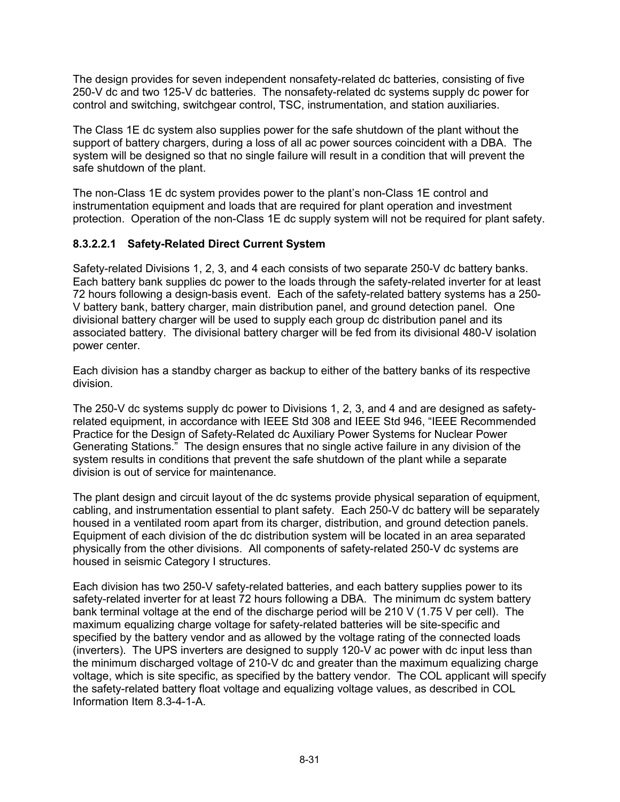The design provides for seven independent nonsafety-related dc batteries, consisting of five 250-V dc and two 125-V dc batteries. The nonsafety-related dc systems supply dc power for control and switching, switchgear control, TSC, instrumentation, and station auxiliaries.

The Class 1E dc system also supplies power for the safe shutdown of the plant without the support of battery chargers, during a loss of all ac power sources coincident with a DBA. The system will be designed so that no single failure will result in a condition that will prevent the safe shutdown of the plant.

The non-Class 1E dc system provides power to the plant's non-Class 1E control and instrumentation equipment and loads that are required for plant operation and investment protection. Operation of the non-Class 1E dc supply system will not be required for plant safety.

### **8.3.2.2.1 Safety-Related Direct Current System**

Safety-related Divisions 1, 2, 3, and 4 each consists of two separate 250-V dc battery banks. Each battery bank supplies dc power to the loads through the safety-related inverter for at least 72 hours following a design-basis event. Each of the safety-related battery systems has a 250- V battery bank, battery charger, main distribution panel, and ground detection panel. One divisional battery charger will be used to supply each group dc distribution panel and its associated battery. The divisional battery charger will be fed from its divisional 480-V isolation power center.

Each division has a standby charger as backup to either of the battery banks of its respective division.

The 250-V dc systems supply dc power to Divisions 1, 2, 3, and 4 and are designed as safetyrelated equipment, in accordance with IEEE Std 308 and IEEE Std 946, "IEEE Recommended Practice for the Design of Safety-Related dc Auxiliary Power Systems for Nuclear Power Generating Stations." The design ensures that no single active failure in any division of the system results in conditions that prevent the safe shutdown of the plant while a separate division is out of service for maintenance.

The plant design and circuit layout of the dc systems provide physical separation of equipment, cabling, and instrumentation essential to plant safety. Each 250-V dc battery will be separately housed in a ventilated room apart from its charger, distribution, and ground detection panels. Equipment of each division of the dc distribution system will be located in an area separated physically from the other divisions. All components of safety-related 250-V dc systems are housed in seismic Category I structures.

Each division has two 250-V safety-related batteries, and each battery supplies power to its safety-related inverter for at least 72 hours following a DBA. The minimum dc system battery bank terminal voltage at the end of the discharge period will be 210 V (1.75 V per cell). The maximum equalizing charge voltage for safety-related batteries will be site-specific and specified by the battery vendor and as allowed by the voltage rating of the connected loads (inverters). The UPS inverters are designed to supply 120-V ac power with dc input less than the minimum discharged voltage of 210-V dc and greater than the maximum equalizing charge voltage, which is site specific, as specified by the battery vendor. The COL applicant will specify the safety-related battery float voltage and equalizing voltage values, as described in COL Information Item 8.3-4-1-A.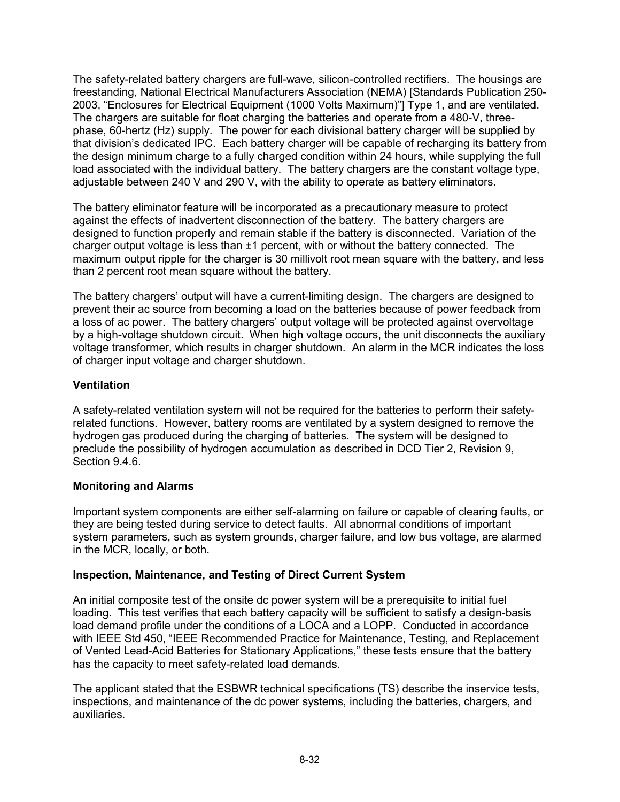The safety-related battery chargers are full-wave, silicon-controlled rectifiers. The housings are freestanding, National Electrical Manufacturers Association (NEMA) [Standards Publication 250- 2003, "Enclosures for Electrical Equipment (1000 Volts Maximum)"] Type 1, and are ventilated. The chargers are suitable for float charging the batteries and operate from a 480-V, threephase, 60-hertz (Hz) supply. The power for each divisional battery charger will be supplied by that division's dedicated IPC. Each battery charger will be capable of recharging its battery from the design minimum charge to a fully charged condition within 24 hours, while supplying the full load associated with the individual battery. The battery chargers are the constant voltage type, adjustable between 240 V and 290 V, with the ability to operate as battery eliminators.

The battery eliminator feature will be incorporated as a precautionary measure to protect against the effects of inadvertent disconnection of the battery. The battery chargers are designed to function properly and remain stable if the battery is disconnected. Variation of the charger output voltage is less than  $\pm 1$  percent, with or without the battery connected. The maximum output ripple for the charger is 30 millivolt root mean square with the battery, and less than 2 percent root mean square without the battery.

The battery chargers' output will have a current-limiting design. The chargers are designed to prevent their ac source from becoming a load on the batteries because of power feedback from a loss of ac power. The battery chargers' output voltage will be protected against overvoltage by a high-voltage shutdown circuit. When high voltage occurs, the unit disconnects the auxiliary voltage transformer, which results in charger shutdown. An alarm in the MCR indicates the loss of charger input voltage and charger shutdown.

### **Ventilation**

A safety-related ventilation system will not be required for the batteries to perform their safetyrelated functions. However, battery rooms are ventilated by a system designed to remove the hydrogen gas produced during the charging of batteries. The system will be designed to preclude the possibility of hydrogen accumulation as described in DCD Tier 2, Revision 9, Section 9.4.6.

### **Monitoring and Alarms**

Important system components are either self-alarming on failure or capable of clearing faults, or they are being tested during service to detect faults. All abnormal conditions of important system parameters, such as system grounds, charger failure, and low bus voltage, are alarmed in the MCR, locally, or both.

### **Inspection, Maintenance, and Testing of Direct Current System**

An initial composite test of the onsite dc power system will be a prerequisite to initial fuel loading. This test verifies that each battery capacity will be sufficient to satisfy a design-basis load demand profile under the conditions of a LOCA and a LOPP. Conducted in accordance with IEEE Std 450, "IEEE Recommended Practice for Maintenance, Testing, and Replacement of Vented Lead-Acid Batteries for Stationary Applications," these tests ensure that the battery has the capacity to meet safety-related load demands.

The applicant stated that the ESBWR technical specifications (TS) describe the inservice tests, inspections, and maintenance of the dc power systems, including the batteries, chargers, and auxiliaries.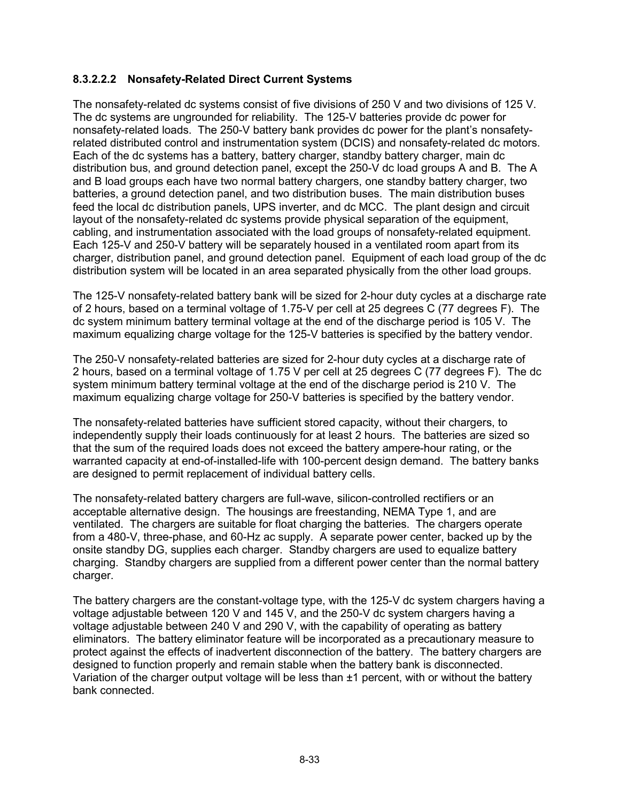### **8.3.2.2.2 Nonsafety-Related Direct Current Systems**

The nonsafety-related dc systems consist of five divisions of 250 V and two divisions of 125 V. The dc systems are ungrounded for reliability. The 125-V batteries provide dc power for nonsafety-related loads. The 250-V battery bank provides dc power for the plant's nonsafetyrelated distributed control and instrumentation system (DCIS) and nonsafety-related dc motors. Each of the dc systems has a battery, battery charger, standby battery charger, main dc distribution bus, and ground detection panel, except the 250-V dc load groups A and B. The A and B load groups each have two normal battery chargers, one standby battery charger, two batteries, a ground detection panel, and two distribution buses. The main distribution buses feed the local dc distribution panels, UPS inverter, and dc MCC. The plant design and circuit layout of the nonsafety-related dc systems provide physical separation of the equipment, cabling, and instrumentation associated with the load groups of nonsafety-related equipment. Each 125-V and 250-V battery will be separately housed in a ventilated room apart from its charger, distribution panel, and ground detection panel. Equipment of each load group of the dc distribution system will be located in an area separated physically from the other load groups.

The 125-V nonsafety-related battery bank will be sized for 2-hour duty cycles at a discharge rate of 2 hours, based on a terminal voltage of 1.75-V per cell at 25 degrees C (77 degrees F). The dc system minimum battery terminal voltage at the end of the discharge period is 105 V. The maximum equalizing charge voltage for the 125-V batteries is specified by the battery vendor.

The 250-V nonsafety-related batteries are sized for 2-hour duty cycles at a discharge rate of 2 hours, based on a terminal voltage of 1.75 V per cell at 25 degrees C (77 degrees F). The dc system minimum battery terminal voltage at the end of the discharge period is 210 V. The maximum equalizing charge voltage for 250-V batteries is specified by the battery vendor.

The nonsafety-related batteries have sufficient stored capacity, without their chargers, to independently supply their loads continuously for at least 2 hours. The batteries are sized so that the sum of the required loads does not exceed the battery ampere-hour rating, or the warranted capacity at end-of-installed-life with 100-percent design demand. The battery banks are designed to permit replacement of individual battery cells.

The nonsafety-related battery chargers are full-wave, silicon-controlled rectifiers or an acceptable alternative design. The housings are freestanding, NEMA Type 1, and are ventilated. The chargers are suitable for float charging the batteries. The chargers operate from a 480-V, three-phase, and 60-Hz ac supply. A separate power center, backed up by the onsite standby DG, supplies each charger. Standby chargers are used to equalize battery charging. Standby chargers are supplied from a different power center than the normal battery charger.

The battery chargers are the constant-voltage type, with the 125-V dc system chargers having a voltage adjustable between 120 V and 145 V, and the 250-V dc system chargers having a voltage adjustable between 240 V and 290 V, with the capability of operating as battery eliminators. The battery eliminator feature will be incorporated as a precautionary measure to protect against the effects of inadvertent disconnection of the battery. The battery chargers are designed to function properly and remain stable when the battery bank is disconnected. Variation of the charger output voltage will be less than ±1 percent, with or without the battery bank connected.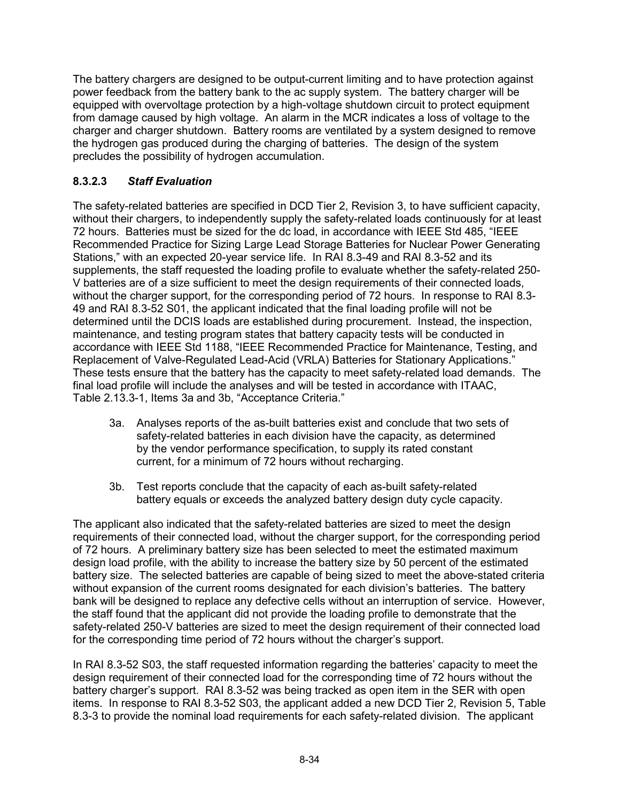The battery chargers are designed to be output-current limiting and to have protection against power feedback from the battery bank to the ac supply system. The battery charger will be equipped with overvoltage protection by a high-voltage shutdown circuit to protect equipment from damage caused by high voltage. An alarm in the MCR indicates a loss of voltage to the charger and charger shutdown. Battery rooms are ventilated by a system designed to remove the hydrogen gas produced during the charging of batteries. The design of the system precludes the possibility of hydrogen accumulation.

# **8.3.2.3** *Staff Evaluation*

The safety-related batteries are specified in DCD Tier 2, Revision 3, to have sufficient capacity, without their chargers, to independently supply the safety-related loads continuously for at least 72 hours. Batteries must be sized for the dc load, in accordance with IEEE Std 485, "IEEE Recommended Practice for Sizing Large Lead Storage Batteries for Nuclear Power Generating Stations," with an expected 20-year service life. In RAI 8.3-49 and RAI 8.3-52 and its supplements, the staff requested the loading profile to evaluate whether the safety-related 250- V batteries are of a size sufficient to meet the design requirements of their connected loads, without the charger support, for the corresponding period of 72 hours. In response to RAI 8.3- 49 and RAI 8.3-52 S01, the applicant indicated that the final loading profile will not be determined until the DCIS loads are established during procurement. Instead, the inspection, maintenance, and testing program states that battery capacity tests will be conducted in accordance with IEEE Std 1188, "IEEE Recommended Practice for Maintenance, Testing, and Replacement of Valve-Regulated Lead-Acid (VRLA) Batteries for Stationary Applications." These tests ensure that the battery has the capacity to meet safety-related load demands. The final load profile will include the analyses and will be tested in accordance with ITAAC, Table 2.13.3-1, Items 3a and 3b, "Acceptance Criteria."

- 3a. Analyses reports of the as-built batteries exist and conclude that two sets of safety-related batteries in each division have the capacity, as determined by the vendor performance specification, to supply its rated constant current, for a minimum of 72 hours without recharging.
- 3b. Test reports conclude that the capacity of each as-built safety-related battery equals or exceeds the analyzed battery design duty cycle capacity.

The applicant also indicated that the safety-related batteries are sized to meet the design requirements of their connected load, without the charger support, for the corresponding period of 72 hours. A preliminary battery size has been selected to meet the estimated maximum design load profile, with the ability to increase the battery size by 50 percent of the estimated battery size. The selected batteries are capable of being sized to meet the above-stated criteria without expansion of the current rooms designated for each division's batteries. The battery bank will be designed to replace any defective cells without an interruption of service. However, the staff found that the applicant did not provide the loading profile to demonstrate that the safety-related 250-V batteries are sized to meet the design requirement of their connected load for the corresponding time period of 72 hours without the charger's support.

In RAI 8.3-52 S03, the staff requested information regarding the batteries' capacity to meet the design requirement of their connected load for the corresponding time of 72 hours without the battery charger's support. RAI 8.3-52 was being tracked as open item in the SER with open items. In response to RAI 8.3-52 S03, the applicant added a new DCD Tier 2, Revision 5, Table 8.3-3 to provide the nominal load requirements for each safety-related division. The applicant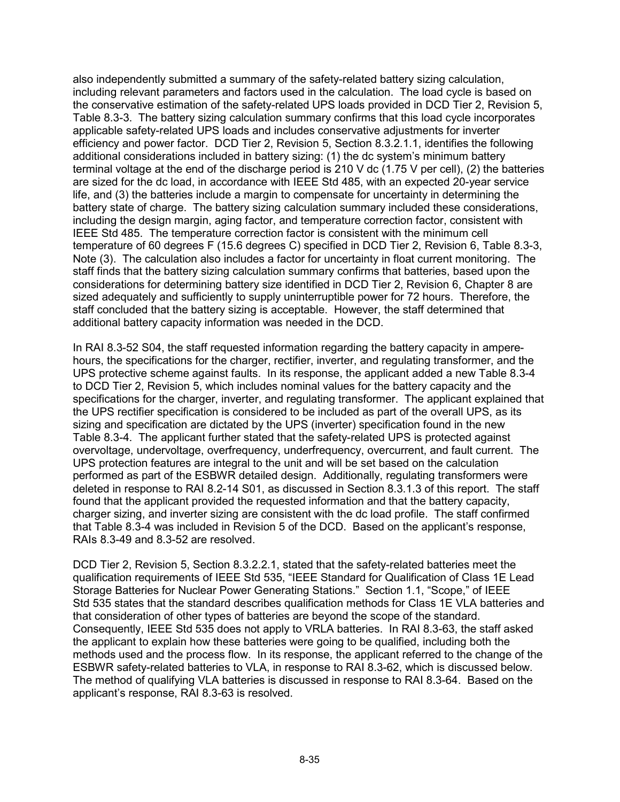also independently submitted a summary of the safety-related battery sizing calculation, including relevant parameters and factors used in the calculation. The load cycle is based on the conservative estimation of the safety-related UPS loads provided in DCD Tier 2, Revision 5, Table 8.3-3. The battery sizing calculation summary confirms that this load cycle incorporates applicable safety-related UPS loads and includes conservative adjustments for inverter efficiency and power factor. DCD Tier 2, Revision 5, Section 8.3.2.1.1, identifies the following additional considerations included in battery sizing: (1) the dc system's minimum battery terminal voltage at the end of the discharge period is 210 V dc (1.75 V per cell), (2) the batteries are sized for the dc load, in accordance with IEEE Std 485, with an expected 20-year service life, and (3) the batteries include a margin to compensate for uncertainty in determining the battery state of charge. The battery sizing calculation summary included these considerations, including the design margin, aging factor, and temperature correction factor, consistent with IEEE Std 485. The temperature correction factor is consistent with the minimum cell temperature of 60 degrees F (15.6 degrees C) specified in DCD Tier 2, Revision 6, Table 8.3-3, Note (3). The calculation also includes a factor for uncertainty in float current monitoring. The staff finds that the battery sizing calculation summary confirms that batteries, based upon the considerations for determining battery size identified in DCD Tier 2, Revision 6, Chapter 8 are sized adequately and sufficiently to supply uninterruptible power for 72 hours. Therefore, the staff concluded that the battery sizing is acceptable. However, the staff determined that additional battery capacity information was needed in the DCD.

In RAI 8.3-52 S04, the staff requested information regarding the battery capacity in amperehours, the specifications for the charger, rectifier, inverter, and regulating transformer, and the UPS protective scheme against faults. In its response, the applicant added a new Table 8.3-4 to DCD Tier 2, Revision 5, which includes nominal values for the battery capacity and the specifications for the charger, inverter, and regulating transformer. The applicant explained that the UPS rectifier specification is considered to be included as part of the overall UPS, as its sizing and specification are dictated by the UPS (inverter) specification found in the new Table 8.3-4. The applicant further stated that the safety-related UPS is protected against overvoltage, undervoltage, overfrequency, underfrequency, overcurrent, and fault current. The UPS protection features are integral to the unit and will be set based on the calculation performed as part of the ESBWR detailed design. Additionally, regulating transformers were deleted in response to RAI 8.2-14 S01, as discussed in Section 8.3.1.3 of this report. The staff found that the applicant provided the requested information and that the battery capacity, charger sizing, and inverter sizing are consistent with the dc load profile. The staff confirmed that Table 8.3-4 was included in Revision 5 of the DCD. Based on the applicant's response, RAIs 8.3-49 and 8.3-52 are resolved.

DCD Tier 2, Revision 5, Section 8.3.2.2.1, stated that the safety-related batteries meet the qualification requirements of IEEE Std 535, "IEEE Standard for Qualification of Class 1E Lead Storage Batteries for Nuclear Power Generating Stations." Section 1.1, "Scope," of IEEE Std 535 states that the standard describes qualification methods for Class 1E VLA batteries and that consideration of other types of batteries are beyond the scope of the standard. Consequently, IEEE Std 535 does not apply to VRLA batteries. In RAI 8.3-63, the staff asked the applicant to explain how these batteries were going to be qualified, including both the methods used and the process flow. In its response, the applicant referred to the change of the ESBWR safety-related batteries to VLA, in response to RAI 8.3-62, which is discussed below. The method of qualifying VLA batteries is discussed in response to RAI 8.3-64. Based on the applicant's response, RAI 8.3-63 is resolved.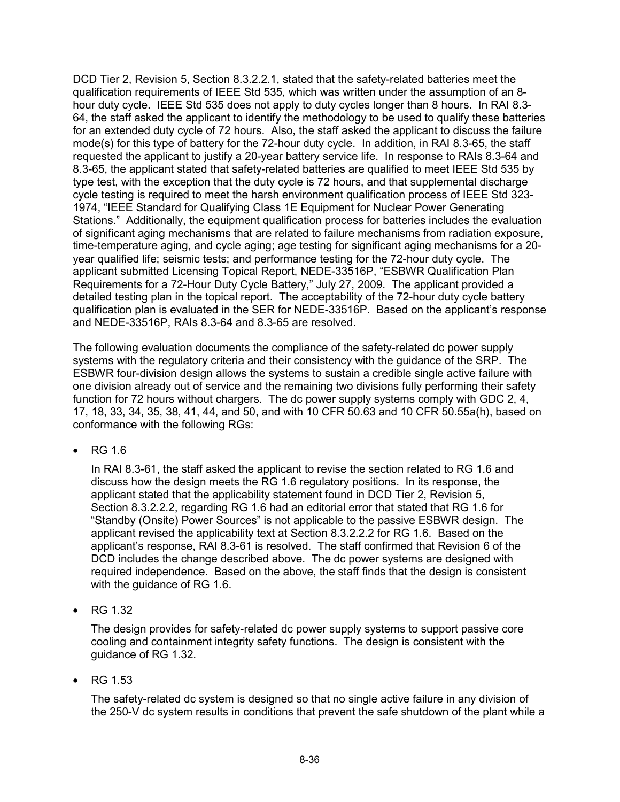DCD Tier 2, Revision 5, Section 8.3.2.2.1, stated that the safety-related batteries meet the qualification requirements of IEEE Std 535, which was written under the assumption of an 8 hour duty cycle. IEEE Std 535 does not apply to duty cycles longer than 8 hours. In RAI 8.3- 64, the staff asked the applicant to identify the methodology to be used to qualify these batteries for an extended duty cycle of 72 hours. Also, the staff asked the applicant to discuss the failure mode(s) for this type of battery for the 72-hour duty cycle. In addition, in RAI 8.3-65, the staff requested the applicant to justify a 20-year battery service life. In response to RAIs 8.3-64 and 8.3-65, the applicant stated that safety-related batteries are qualified to meet IEEE Std 535 by type test, with the exception that the duty cycle is 72 hours, and that supplemental discharge cycle testing is required to meet the harsh environment qualification process of IEEE Std 323- 1974, "IEEE Standard for Qualifying Class 1E Equipment for Nuclear Power Generating Stations." Additionally, the equipment qualification process for batteries includes the evaluation of significant aging mechanisms that are related to failure mechanisms from radiation exposure, time-temperature aging, and cycle aging; age testing for significant aging mechanisms for a 20 year qualified life; seismic tests; and performance testing for the 72-hour duty cycle. The applicant submitted Licensing Topical Report, NEDE-33516P, "ESBWR Qualification Plan Requirements for a 72-Hour Duty Cycle Battery," July 27, 2009. The applicant provided a detailed testing plan in the topical report. The acceptability of the 72-hour duty cycle battery qualification plan is evaluated in the SER for NEDE-33516P. Based on the applicant's response and NEDE-33516P, RAIs 8.3-64 and 8.3-65 are resolved.

The following evaluation documents the compliance of the safety-related dc power supply systems with the regulatory criteria and their consistency with the guidance of the SRP. The ESBWR four-division design allows the systems to sustain a credible single active failure with one division already out of service and the remaining two divisions fully performing their safety function for 72 hours without chargers. The dc power supply systems comply with GDC 2, 4, 17, 18, 33, 34, 35, 38, 41, 44, and 50, and with 10 CFR 50.63 and 10 CFR 50.55a(h), based on conformance with the following RGs:

• RG 1.6

In RAI 8.3-61, the staff asked the applicant to revise the section related to RG 1.6 and discuss how the design meets the RG 1.6 regulatory positions. In its response, the applicant stated that the applicability statement found in DCD Tier 2, Revision 5, Section 8.3.2.2.2, regarding RG 1.6 had an editorial error that stated that RG 1.6 for "Standby (Onsite) Power Sources" is not applicable to the passive ESBWR design. The applicant revised the applicability text at Section 8.3.2.2.2 for RG 1.6. Based on the applicant's response, RAI 8.3-61 is resolved. The staff confirmed that Revision 6 of the DCD includes the change described above. The dc power systems are designed with required independence. Based on the above, the staff finds that the design is consistent with the guidance of RG 1.6.

• RG 1.32

The design provides for safety-related dc power supply systems to support passive core cooling and containment integrity safety functions. The design is consistent with the guidance of RG 1.32.

• RG 1.53

The safety-related dc system is designed so that no single active failure in any division of the 250-V dc system results in conditions that prevent the safe shutdown of the plant while a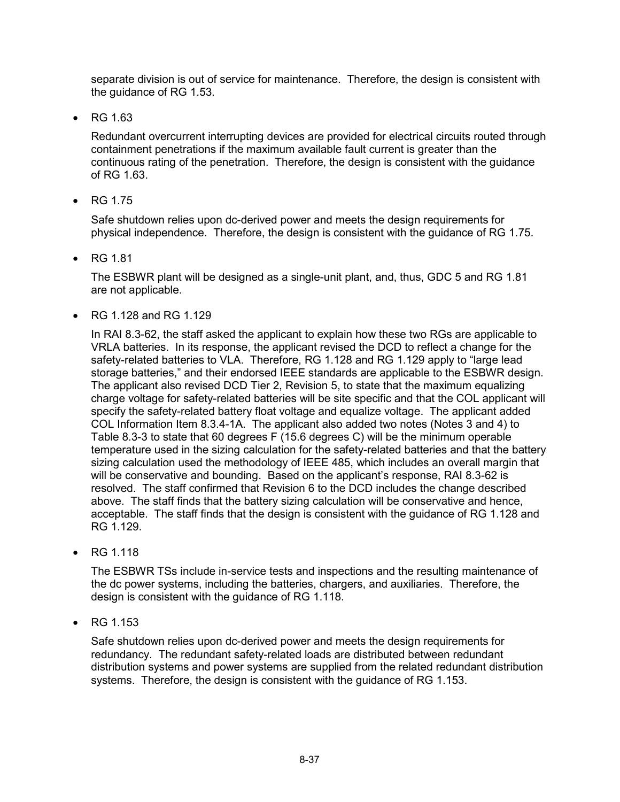separate division is out of service for maintenance. Therefore, the design is consistent with the guidance of RG 1.53.

• RG 1.63

Redundant overcurrent interrupting devices are provided for electrical circuits routed through containment penetrations if the maximum available fault current is greater than the continuous rating of the penetration. Therefore, the design is consistent with the guidance of RG 1.63.

• RG 1.75

Safe shutdown relies upon dc-derived power and meets the design requirements for physical independence. Therefore, the design is consistent with the guidance of RG 1.75.

• RG 1.81

The ESBWR plant will be designed as a single-unit plant, and, thus, GDC 5 and RG 1.81 are not applicable.

• RG 1.128 and RG 1.129

In RAI 8.3-62, the staff asked the applicant to explain how these two RGs are applicable to VRLA batteries. In its response, the applicant revised the DCD to reflect a change for the safety-related batteries to VLA. Therefore, RG 1.128 and RG 1.129 apply to "large lead storage batteries," and their endorsed IEEE standards are applicable to the ESBWR design. The applicant also revised DCD Tier 2, Revision 5, to state that the maximum equalizing charge voltage for safety-related batteries will be site specific and that the COL applicant will specify the safety-related battery float voltage and equalize voltage. The applicant added COL Information Item 8.3.4-1A. The applicant also added two notes (Notes 3 and 4) to Table 8.3-3 to state that 60 degrees F (15.6 degrees C) will be the minimum operable temperature used in the sizing calculation for the safety-related batteries and that the battery sizing calculation used the methodology of IEEE 485, which includes an overall margin that will be conservative and bounding. Based on the applicant's response, RAI 8.3-62 is resolved. The staff confirmed that Revision 6 to the DCD includes the change described above. The staff finds that the battery sizing calculation will be conservative and hence, acceptable. The staff finds that the design is consistent with the guidance of RG 1.128 and RG 1.129.

• RG 1.118

The ESBWR TSs include in-service tests and inspections and the resulting maintenance of the dc power systems, including the batteries, chargers, and auxiliaries. Therefore, the design is consistent with the guidance of RG 1.118.

• RG 1.153

Safe shutdown relies upon dc-derived power and meets the design requirements for redundancy. The redundant safety-related loads are distributed between redundant distribution systems and power systems are supplied from the related redundant distribution systems. Therefore, the design is consistent with the guidance of RG 1.153.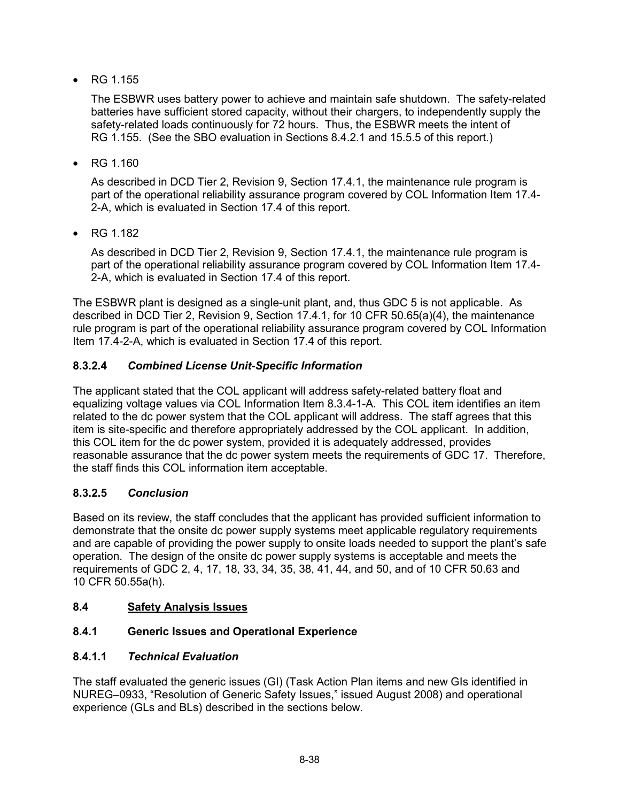• RG 1.155

The ESBWR uses battery power to achieve and maintain safe shutdown. The safety-related batteries have sufficient stored capacity, without their chargers, to independently supply the safety-related loads continuously for 72 hours. Thus, the ESBWR meets the intent of RG 1.155. (See the SBO evaluation in Sections 8.4.2.1 and 15.5.5 of this report.)

• RG 1.160

As described in DCD Tier 2, Revision 9, Section 17.4.1, the maintenance rule program is part of the operational reliability assurance program covered by COL Information Item 17.4- 2-A, which is evaluated in Section 17.4 of this report.

• RG 1.182

As described in DCD Tier 2, Revision 9, Section 17.4.1, the maintenance rule program is part of the operational reliability assurance program covered by COL Information Item 17.4- 2-A, which is evaluated in Section 17.4 of this report.

The ESBWR plant is designed as a single-unit plant, and, thus GDC 5 is not applicable. As described in DCD Tier 2, Revision 9, Section 17.4.1, for 10 CFR 50.65(a)(4), the maintenance rule program is part of the operational reliability assurance program covered by COL Information Item 17.4-2-A, which is evaluated in Section 17.4 of this report.

# **8.3.2.4** *Combined License Unit-Specific Information*

The applicant stated that the COL applicant will address safety-related battery float and equalizing voltage values via COL Information Item 8.3.4-1-A. This COL item identifies an item related to the dc power system that the COL applicant will address. The staff agrees that this item is site-specific and therefore appropriately addressed by the COL applicant. In addition, this COL item for the dc power system, provided it is adequately addressed, provides reasonable assurance that the dc power system meets the requirements of GDC 17. Therefore, the staff finds this COL information item acceptable.

### **8.3.2.5** *Conclusion*

Based on its review, the staff concludes that the applicant has provided sufficient information to demonstrate that the onsite dc power supply systems meet applicable regulatory requirements and are capable of providing the power supply to onsite loads needed to support the plant's safe operation. The design of the onsite dc power supply systems is acceptable and meets the requirements of GDC 2, 4, 17, 18, 33, 34, 35, 38, 41, 44, and 50, and of 10 CFR 50.63 and 10 CFR 50.55a(h).

### **8.4 Safety Analysis Issues**

### **8.4.1 Generic Issues and Operational Experience**

### **8.4.1.1** *Technical Evaluation*

The staff evaluated the generic issues (GI) (Task Action Plan items and new GIs identified in NUREG–0933, "Resolution of Generic Safety Issues," issued August 2008) and operational experience (GLs and BLs) described in the sections below.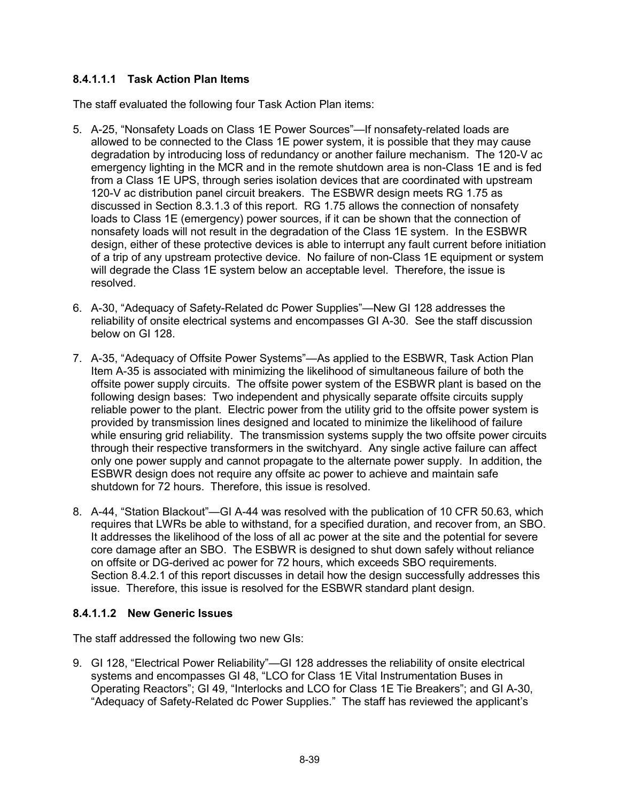### **8.4.1.1.1 Task Action Plan Items**

The staff evaluated the following four Task Action Plan items:

- 5. A-25, "Nonsafety Loads on Class 1E Power Sources"—If nonsafety-related loads are allowed to be connected to the Class 1E power system, it is possible that they may cause degradation by introducing loss of redundancy or another failure mechanism. The 120-V ac emergency lighting in the MCR and in the remote shutdown area is non-Class 1E and is fed from a Class 1E UPS, through series isolation devices that are coordinated with upstream 120-V ac distribution panel circuit breakers. The ESBWR design meets RG 1.75 as discussed in Section 8.3.1.3 of this report. RG 1.75 allows the connection of nonsafety loads to Class 1E (emergency) power sources, if it can be shown that the connection of nonsafety loads will not result in the degradation of the Class 1E system. In the ESBWR design, either of these protective devices is able to interrupt any fault current before initiation of a trip of any upstream protective device. No failure of non-Class 1E equipment or system will degrade the Class 1E system below an acceptable level. Therefore, the issue is resolved.
- 6. A-30, "Adequacy of Safety-Related dc Power Supplies"—New GI 128 addresses the reliability of onsite electrical systems and encompasses GI A-30. See the staff discussion below on GI 128.
- 7. A-35, "Adequacy of Offsite Power Systems"—As applied to the ESBWR, Task Action Plan Item A-35 is associated with minimizing the likelihood of simultaneous failure of both the offsite power supply circuits. The offsite power system of the ESBWR plant is based on the following design bases: Two independent and physically separate offsite circuits supply reliable power to the plant. Electric power from the utility grid to the offsite power system is provided by transmission lines designed and located to minimize the likelihood of failure while ensuring grid reliability. The transmission systems supply the two offsite power circuits through their respective transformers in the switchyard. Any single active failure can affect only one power supply and cannot propagate to the alternate power supply. In addition, the ESBWR design does not require any offsite ac power to achieve and maintain safe shutdown for 72 hours. Therefore, this issue is resolved.
- 8. A-44, "Station Blackout"—GI A-44 was resolved with the publication of 10 CFR 50.63, which requires that LWRs be able to withstand, for a specified duration, and recover from, an SBO. It addresses the likelihood of the loss of all ac power at the site and the potential for severe core damage after an SBO. The ESBWR is designed to shut down safely without reliance on offsite or DG-derived ac power for 72 hours, which exceeds SBO requirements. Section 8.4.2.1 of this report discusses in detail how the design successfully addresses this issue. Therefore, this issue is resolved for the ESBWR standard plant design.

### **8.4.1.1.2 New Generic Issues**

The staff addressed the following two new GIs:

9. GI 128, "Electrical Power Reliability"—GI 128 addresses the reliability of onsite electrical systems and encompasses GI 48, "LCO for Class 1E Vital Instrumentation Buses in Operating Reactors"; GI 49, "Interlocks and LCO for Class 1E Tie Breakers"; and GI A-30, "Adequacy of Safety-Related dc Power Supplies." The staff has reviewed the applicant's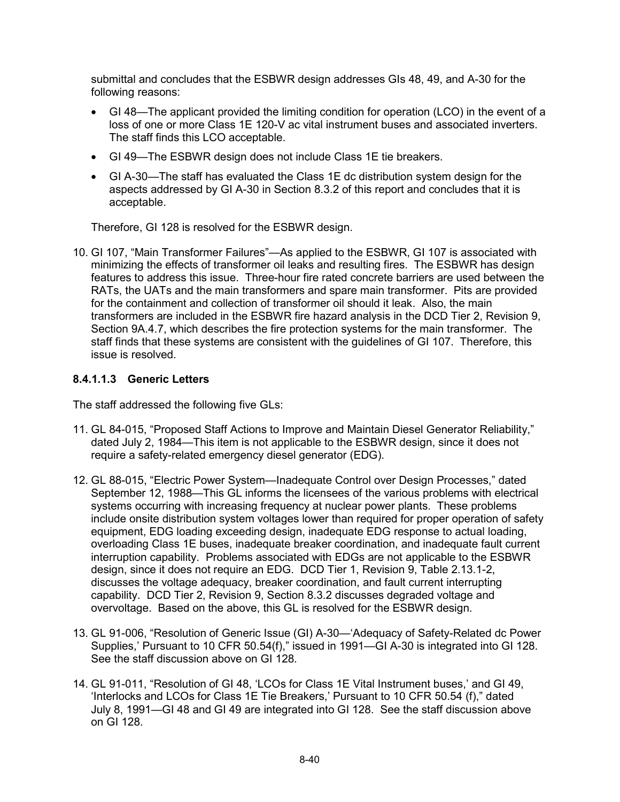submittal and concludes that the ESBWR design addresses GIs 48, 49, and A-30 for the following reasons:

- GI 48—The applicant provided the limiting condition for operation (LCO) in the event of a loss of one or more Class 1E 120-V ac vital instrument buses and associated inverters. The staff finds this LCO acceptable.
- GI 49—The ESBWR design does not include Class 1E tie breakers.
- GI A-30—The staff has evaluated the Class 1E dc distribution system design for the aspects addressed by GI A-30 in Section 8.3.2 of this report and concludes that it is acceptable.

Therefore, GI 128 is resolved for the ESBWR design.

10. GI 107, "Main Transformer Failures"—As applied to the ESBWR, GI 107 is associated with minimizing the effects of transformer oil leaks and resulting fires. The ESBWR has design features to address this issue. Three-hour fire rated concrete barriers are used between the RATs, the UATs and the main transformers and spare main transformer. Pits are provided for the containment and collection of transformer oil should it leak. Also, the main transformers are included in the ESBWR fire hazard analysis in the DCD Tier 2, Revision 9, Section 9A.4.7, which describes the fire protection systems for the main transformer. The staff finds that these systems are consistent with the guidelines of GI 107. Therefore, this issue is resolved.

#### **8.4.1.1.3 Generic Letters**

The staff addressed the following five GLs:

- 11. GL 84-015, "Proposed Staff Actions to Improve and Maintain Diesel Generator Reliability," dated July 2, 1984—This item is not applicable to the ESBWR design, since it does not require a safety-related emergency diesel generator (EDG).
- 12. GL 88-015, "Electric Power System—Inadequate Control over Design Processes," dated September 12, 1988—This GL informs the licensees of the various problems with electrical systems occurring with increasing frequency at nuclear power plants. These problems include onsite distribution system voltages lower than required for proper operation of safety equipment, EDG loading exceeding design, inadequate EDG response to actual loading, overloading Class 1E buses, inadequate breaker coordination, and inadequate fault current interruption capability. Problems associated with EDGs are not applicable to the ESBWR design, since it does not require an EDG. DCD Tier 1, Revision 9, Table 2.13.1-2, discusses the voltage adequacy, breaker coordination, and fault current interrupting capability. DCD Tier 2, Revision 9, Section 8.3.2 discusses degraded voltage and overvoltage. Based on the above, this GL is resolved for the ESBWR design.
- 13. GL 91-006, "Resolution of Generic Issue (GI) A-30—'Adequacy of Safety-Related dc Power Supplies,' Pursuant to 10 CFR 50.54(f)," issued in 1991—GI A-30 is integrated into GI 128. See the staff discussion above on GI 128.
- 14. GL 91-011, "Resolution of GI 48, 'LCOs for Class 1E Vital Instrument buses,' and GI 49, 'Interlocks and LCOs for Class 1E Tie Breakers,' Pursuant to 10 CFR 50.54 (f)," dated July 8, 1991—GI 48 and GI 49 are integrated into GI 128. See the staff discussion above on GI 128.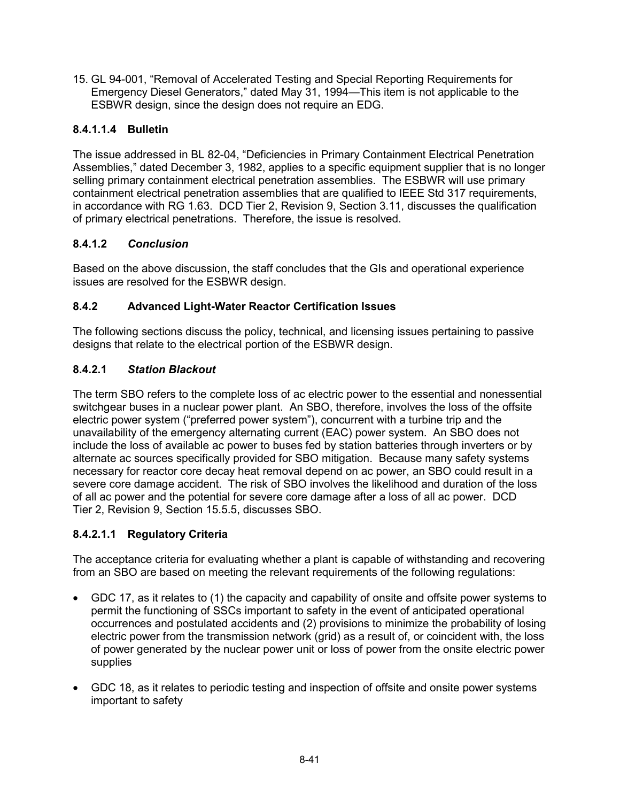15. GL 94-001, "Removal of Accelerated Testing and Special Reporting Requirements for Emergency Diesel Generators," dated May 31, 1994—This item is not applicable to the ESBWR design, since the design does not require an EDG.

### **8.4.1.1.4 Bulletin**

The issue addressed in BL 82-04, "Deficiencies in Primary Containment Electrical Penetration Assemblies," dated December 3, 1982, applies to a specific equipment supplier that is no longer selling primary containment electrical penetration assemblies. The ESBWR will use primary containment electrical penetration assemblies that are qualified to IEEE Std 317 requirements, in accordance with RG 1.63. DCD Tier 2, Revision 9, Section 3.11, discusses the qualification of primary electrical penetrations. Therefore, the issue is resolved.

### **8.4.1.2** *Conclusion*

Based on the above discussion, the staff concludes that the GIs and operational experience issues are resolved for the ESBWR design.

### **8.4.2 Advanced Light-Water Reactor Certification Issues**

The following sections discuss the policy, technical, and licensing issues pertaining to passive designs that relate to the electrical portion of the ESBWR design.

### **8.4.2.1** *Station Blackout*

The term SBO refers to the complete loss of ac electric power to the essential and nonessential switchgear buses in a nuclear power plant. An SBO, therefore, involves the loss of the offsite electric power system ("preferred power system"), concurrent with a turbine trip and the unavailability of the emergency alternating current (EAC) power system. An SBO does not include the loss of available ac power to buses fed by station batteries through inverters or by alternate ac sources specifically provided for SBO mitigation. Because many safety systems necessary for reactor core decay heat removal depend on ac power, an SBO could result in a severe core damage accident. The risk of SBO involves the likelihood and duration of the loss of all ac power and the potential for severe core damage after a loss of all ac power. DCD Tier 2, Revision 9, Section 15.5.5, discusses SBO.

### **8.4.2.1.1 Regulatory Criteria**

The acceptance criteria for evaluating whether a plant is capable of withstanding and recovering from an SBO are based on meeting the relevant requirements of the following regulations:

- GDC 17, as it relates to (1) the capacity and capability of onsite and offsite power systems to permit the functioning of SSCs important to safety in the event of anticipated operational occurrences and postulated accidents and (2) provisions to minimize the probability of losing electric power from the transmission network (grid) as a result of, or coincident with, the loss of power generated by the nuclear power unit or loss of power from the onsite electric power supplies
- GDC 18, as it relates to periodic testing and inspection of offsite and onsite power systems important to safety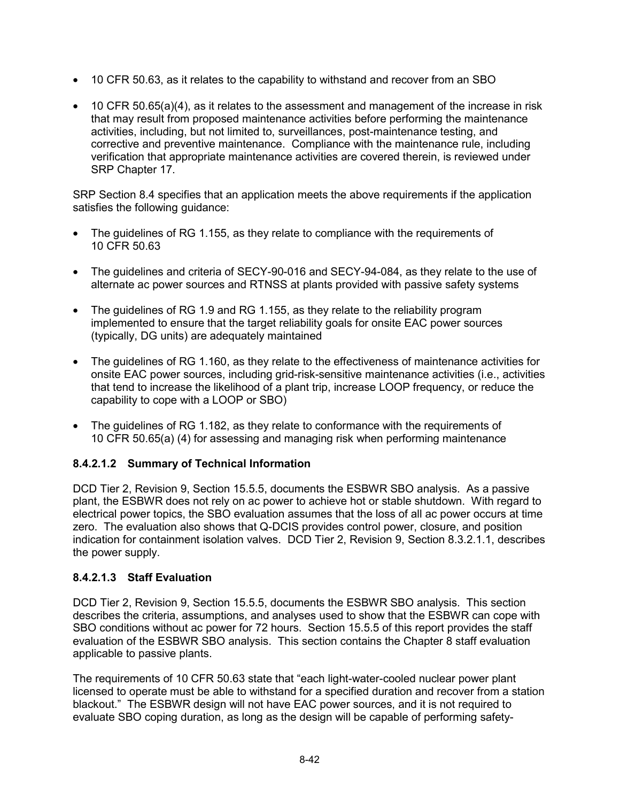- 10 CFR 50.63, as it relates to the capability to withstand and recover from an SBO
- 10 CFR 50.65(a)(4), as it relates to the assessment and management of the increase in risk that may result from proposed maintenance activities before performing the maintenance activities, including, but not limited to, surveillances, post-maintenance testing, and corrective and preventive maintenance. Compliance with the maintenance rule, including verification that appropriate maintenance activities are covered therein, is reviewed under SRP Chapter 17.

SRP Section 8.4 specifies that an application meets the above requirements if the application satisfies the following guidance:

- The guidelines of RG 1.155, as they relate to compliance with the requirements of 10 CFR 50.63
- The guidelines and criteria of SECY-90-016 and SECY-94-084, as they relate to the use of alternate ac power sources and RTNSS at plants provided with passive safety systems
- The guidelines of RG 1.9 and RG 1.155, as they relate to the reliability program implemented to ensure that the target reliability goals for onsite EAC power sources (typically, DG units) are adequately maintained
- The guidelines of RG 1.160, as they relate to the effectiveness of maintenance activities for onsite EAC power sources, including grid-risk-sensitive maintenance activities (i.e., activities that tend to increase the likelihood of a plant trip, increase LOOP frequency, or reduce the capability to cope with a LOOP or SBO)
- The guidelines of RG 1.182, as they relate to conformance with the requirements of 10 CFR 50.65(a) (4) for assessing and managing risk when performing maintenance

### **8.4.2.1.2 Summary of Technical Information**

DCD Tier 2, Revision 9, Section 15.5.5, documents the ESBWR SBO analysis. As a passive plant, the ESBWR does not rely on ac power to achieve hot or stable shutdown. With regard to electrical power topics, the SBO evaluation assumes that the loss of all ac power occurs at time zero. The evaluation also shows that Q-DCIS provides control power, closure, and position indication for containment isolation valves. DCD Tier 2, Revision 9, Section 8.3.2.1.1, describes the power supply.

### **8.4.2.1.3 Staff Evaluation**

DCD Tier 2, Revision 9, Section 15.5.5, documents the ESBWR SBO analysis. This section describes the criteria, assumptions, and analyses used to show that the ESBWR can cope with SBO conditions without ac power for 72 hours. Section 15.5.5 of this report provides the staff evaluation of the ESBWR SBO analysis. This section contains the Chapter 8 staff evaluation applicable to passive plants.

The requirements of 10 CFR 50.63 state that "each light-water-cooled nuclear power plant licensed to operate must be able to withstand for a specified duration and recover from a station blackout." The ESBWR design will not have EAC power sources, and it is not required to evaluate SBO coping duration, as long as the design will be capable of performing safety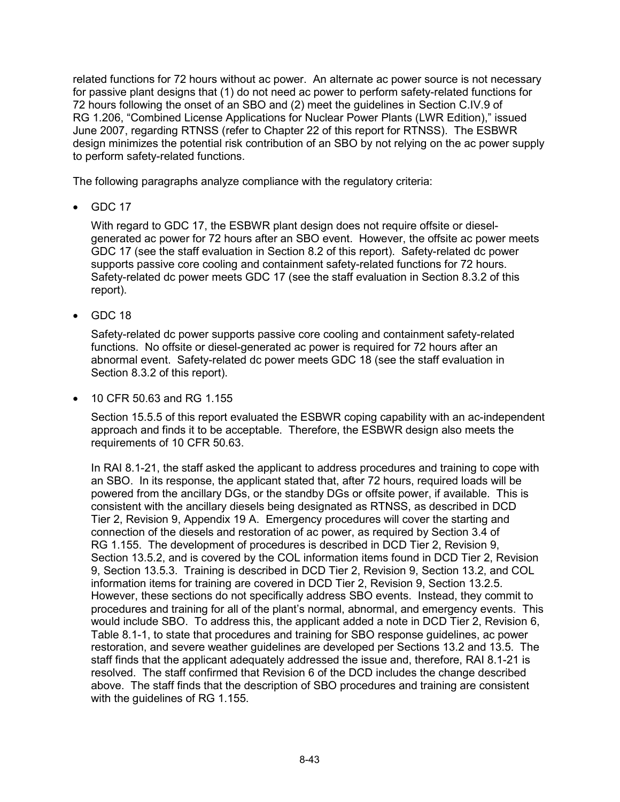related functions for 72 hours without ac power. An alternate ac power source is not necessary for passive plant designs that (1) do not need ac power to perform safety-related functions for 72 hours following the onset of an SBO and (2) meet the guidelines in Section C.IV.9 of RG 1.206, "Combined License Applications for Nuclear Power Plants (LWR Edition)," issued June 2007, regarding RTNSS (refer to Chapter 22 of this report for RTNSS). The ESBWR design minimizes the potential risk contribution of an SBO by not relying on the ac power supply to perform safety-related functions.

The following paragraphs analyze compliance with the regulatory criteria:

• GDC 17

With regard to GDC 17, the ESBWR plant design does not require offsite or dieselgenerated ac power for 72 hours after an SBO event. However, the offsite ac power meets GDC 17 (see the staff evaluation in Section 8.2 of this report). Safety-related dc power supports passive core cooling and containment safety-related functions for 72 hours. Safety-related dc power meets GDC 17 (see the staff evaluation in Section 8.3.2 of this report).

• GDC 18

Safety-related dc power supports passive core cooling and containment safety-related functions. No offsite or diesel-generated ac power is required for 72 hours after an abnormal event. Safety-related dc power meets GDC 18 (see the staff evaluation in Section 8.3.2 of this report).

• 10 CFR 50.63 and RG 1.155

Section 15.5.5 of this report evaluated the ESBWR coping capability with an ac-independent approach and finds it to be acceptable. Therefore, the ESBWR design also meets the requirements of 10 CFR 50.63.

In RAI 8.1-21, the staff asked the applicant to address procedures and training to cope with an SBO. In its response, the applicant stated that, after 72 hours, required loads will be powered from the ancillary DGs, or the standby DGs or offsite power, if available. This is consistent with the ancillary diesels being designated as RTNSS, as described in DCD Tier 2, Revision 9, Appendix 19 A. Emergency procedures will cover the starting and connection of the diesels and restoration of ac power, as required by Section 3.4 of RG 1.155. The development of procedures is described in DCD Tier 2, Revision 9, Section 13.5.2, and is covered by the COL information items found in DCD Tier 2, Revision 9, Section 13.5.3. Training is described in DCD Tier 2, Revision 9, Section 13.2, and COL information items for training are covered in DCD Tier 2, Revision 9, Section 13.2.5. However, these sections do not specifically address SBO events. Instead, they commit to procedures and training for all of the plant's normal, abnormal, and emergency events. This would include SBO. To address this, the applicant added a note in DCD Tier 2, Revision 6, Table 8.1-1, to state that procedures and training for SBO response guidelines, ac power restoration, and severe weather guidelines are developed per Sections 13.2 and 13.5. The staff finds that the applicant adequately addressed the issue and, therefore, RAI 8.1-21 is resolved. The staff confirmed that Revision 6 of the DCD includes the change described above. The staff finds that the description of SBO procedures and training are consistent with the guidelines of RG 1.155.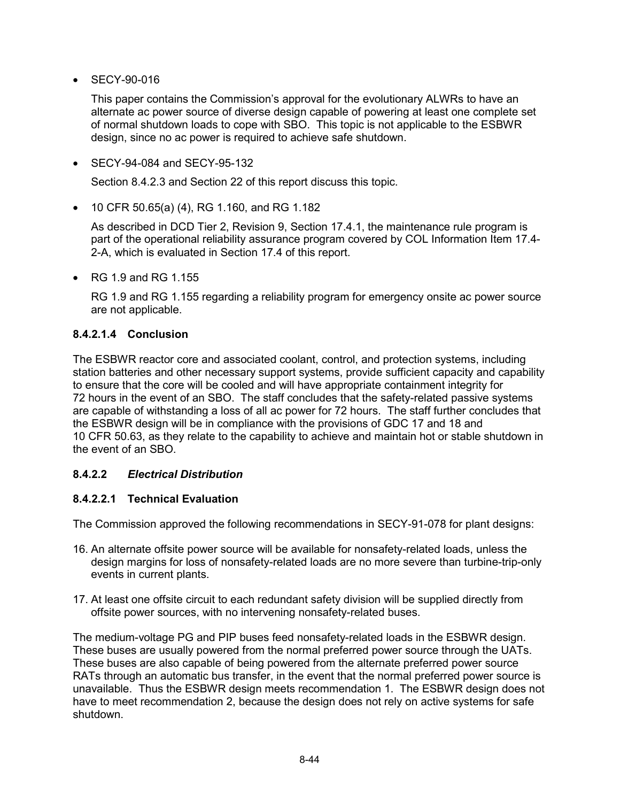• SECY-90-016

This paper contains the Commission's approval for the evolutionary ALWRs to have an alternate ac power source of diverse design capable of powering at least one complete set of normal shutdown loads to cope with SBO. This topic is not applicable to the ESBWR design, since no ac power is required to achieve safe shutdown.

• SECY-94-084 and SECY-95-132

Section 8.4.2.3 and Section 22 of this report discuss this topic.

• 10 CFR 50.65(a) (4), RG 1.160, and RG 1.182

As described in DCD Tier 2, Revision 9, Section 17.4.1, the maintenance rule program is part of the operational reliability assurance program covered by COL Information Item 17.4- 2-A, which is evaluated in Section 17.4 of this report.

• RG 1.9 and RG 1.155

RG 1.9 and RG 1.155 regarding a reliability program for emergency onsite ac power source are not applicable.

#### **8.4.2.1.4 Conclusion**

The ESBWR reactor core and associated coolant, control, and protection systems, including station batteries and other necessary support systems, provide sufficient capacity and capability to ensure that the core will be cooled and will have appropriate containment integrity for 72 hours in the event of an SBO. The staff concludes that the safety-related passive systems are capable of withstanding a loss of all ac power for 72 hours. The staff further concludes that the ESBWR design will be in compliance with the provisions of GDC 17 and 18 and 10 CFR 50.63, as they relate to the capability to achieve and maintain hot or stable shutdown in the event of an SBO.

### **8.4.2.2** *Electrical Distribution*

#### **8.4.2.2.1 Technical Evaluation**

The Commission approved the following recommendations in SECY-91-078 for plant designs:

- 16. An alternate offsite power source will be available for nonsafety-related loads, unless the design margins for loss of nonsafety-related loads are no more severe than turbine-trip-only events in current plants.
- 17. At least one offsite circuit to each redundant safety division will be supplied directly from offsite power sources, with no intervening nonsafety-related buses.

The medium-voltage PG and PIP buses feed nonsafety-related loads in the ESBWR design. These buses are usually powered from the normal preferred power source through the UATs. These buses are also capable of being powered from the alternate preferred power source RATs through an automatic bus transfer, in the event that the normal preferred power source is unavailable. Thus the ESBWR design meets recommendation 1. The ESBWR design does not have to meet recommendation 2, because the design does not rely on active systems for safe shutdown.